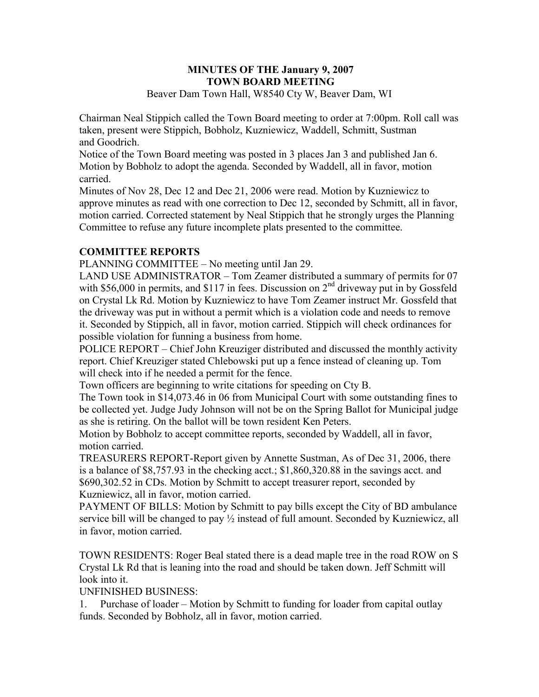#### **MINUTES OF THE January 9, 2007 TOWN BOARD MEETING**  Beaver Dam Town Hall, W8540 Cty W, Beaver Dam, WI

Chairman Neal Stippich called the Town Board meeting to order at 7:00pm. Roll call was taken, present were Stippich, Bobholz, Kuzniewicz, Waddell, Schmitt, Sustman and Goodrich.

Notice of the Town Board meeting was posted in 3 places Jan 3 and published Jan 6. Motion by Bobholz to adopt the agenda. Seconded by Waddell, all in favor, motion carried.

Minutes of Nov 28, Dec 12 and Dec 21, 2006 were read. Motion by Kuzniewicz to approve minutes as read with one correction to Dec 12, seconded by Schmitt, all in favor, motion carried. Corrected statement by Neal Stippich that he strongly urges the Planning Committee to refuse any future incomplete plats presented to the committee.

## **COMMITTEE REPORTS**

PLANNING COMMITTEE – No meeting until Jan 29.

LAND USE ADMINISTRATOR – Tom Zeamer distributed a summary of permits for 07 with \$56,000 in permits, and \$117 in fees. Discussion on  $2<sup>nd</sup>$  driveway put in by Gossfeld on Crystal Lk Rd. Motion by Kuzniewicz to have Tom Zeamer instruct Mr. Gossfeld that the driveway was put in without a permit which is a violation code and needs to remove it. Seconded by Stippich, all in favor, motion carried. Stippich will check ordinances for possible violation for funning a business from home.

POLICE REPORT – Chief John Kreuziger distributed and discussed the monthly activity report. Chief Kreuziger stated Chlebowski put up a fence instead of cleaning up. Tom will check into if he needed a permit for the fence.

Town officers are beginning to write citations for speeding on Cty B.

The Town took in \$14,073.46 in 06 from Municipal Court with some outstanding fines to be collected yet. Judge Judy Johnson will not be on the Spring Ballot for Municipal judge as she is retiring. On the ballot will be town resident Ken Peters.

Motion by Bobholz to accept committee reports, seconded by Waddell, all in favor, motion carried.

TREASURERS REPORT-Report given by Annette Sustman, As of Dec 31, 2006, there is a balance of \$8,757.93 in the checking acct.; \$1,860,320.88 in the savings acct. and \$690,302.52 in CDs. Motion by Schmitt to accept treasurer report, seconded by Kuzniewicz, all in favor, motion carried.

PAYMENT OF BILLS: Motion by Schmitt to pay bills except the City of BD ambulance service bill will be changed to pay  $\frac{1}{2}$  instead of full amount. Seconded by Kuzniewicz, all in favor, motion carried.

TOWN RESIDENTS: Roger Beal stated there is a dead maple tree in the road ROW on S Crystal Lk Rd that is leaning into the road and should be taken down. Jeff Schmitt will look into it.

### UNFINISHED BUSINESS:

1. Purchase of loader – Motion by Schmitt to funding for loader from capital outlay funds. Seconded by Bobholz, all in favor, motion carried.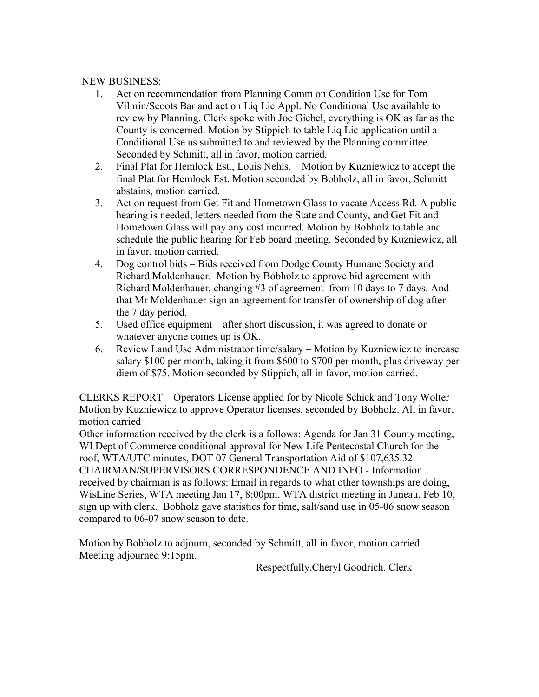#### NEW BUSINESS:

- 1. Act on recommendation from Planning Comm on Condition Use for Tom Vilmin/Scoots Bar and act on Liq Lic Appl. No Conditional Use available to review by Planning. Clerk spoke with Joe Giebel, everything is OK as far as the County is concerned. Motion by Stippich to table Liq Lic application until a Conditional Use us submitted to and reviewed by the Planning committee. Seconded by Schmitt, all in favor, motion carried.
- 2. Final Plat for Hemlock Est., Louis Nehls. Motion by Kuzniewicz to accept the final Plat for Hemlock Est. Motion seconded by Bobholz, all in favor, Schmitt abstains, motion carried.
- 3. Act on request from Get Fit and Hometown Glass to vacate Access Rd. A public hearing is needed, letters needed from the State and County, and Get Fit and Hometown Glass will pay any cost incurred. Motion by Bobholz to table and schedule the public hearing for Feb board meeting. Seconded by Kuzniewicz, all in favor, motion carried.
- 4. Dog control bids Bids received from Dodge County Humane Society and Richard Moldenhauer. Motion by Bobholz to approve bid agreement with Richard Moldenhauer, changing #3 of agreement from 10 days to 7 days. And that Mr Moldenhauer sign an agreement for transfer of ownership of dog after the 7 day period.
- 5. Used office equipment after short discussion, it was agreed to donate or whatever anyone comes up is OK.
- 6. Review Land Use Administrator time/salary Motion by Kuzniewicz to increase salary \$100 per month, taking it from \$600 to \$700 per month, plus driveway per diem of \$75. Motion seconded by Stippich, all in favor, motion carried.

CLERKS REPORT – Operators License applied for by Nicole Schick and Tony Wolter Motion by Kuzniewicz to approve Operator licenses, seconded by Bobholz. All in favor, motion carried

Other information received by the clerk is a follows: Agenda for Jan 31 County meeting, WI Dept of Commerce conditional approval for New Life Pentecostal Church for the roof, WTA/UTC minutes, DOT 07 General Transportation Aid of \$107,635.32. CHAIRMAN/SUPERVISORS CORRESPONDENCE AND INFO - Information received by chairman is as follows: Email in regards to what other townships are doing, WisLine Series, WTA meeting Jan 17, 8:00pm, WTA district meeting in Juneau, Feb 10, sign up with clerk. Bobholz gave statistics for time, salt/sand use in 05-06 snow season compared to 06-07 snow season to date.

Motion by Bobholz to adjourn, seconded by Schmitt, all in favor, motion carried. Meeting adjourned 9:15pm.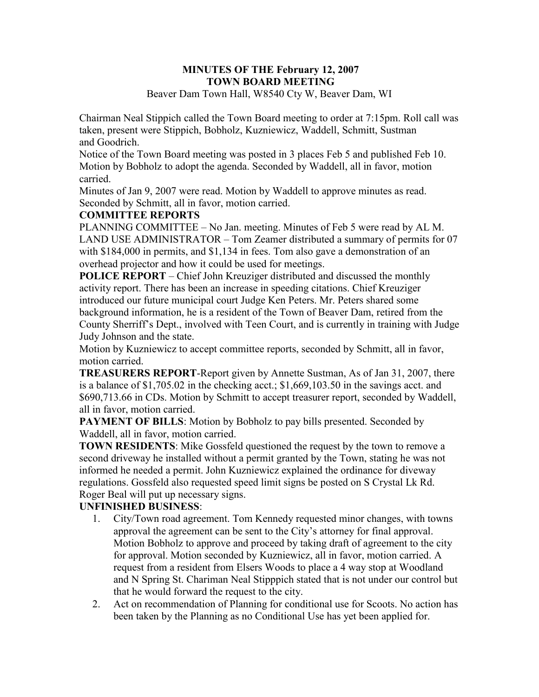# **MINUTES OF THE February 12, 2007 TOWN BOARD MEETING**

Beaver Dam Town Hall, W8540 Cty W, Beaver Dam, WI

Chairman Neal Stippich called the Town Board meeting to order at 7:15pm. Roll call was taken, present were Stippich, Bobholz, Kuzniewicz, Waddell, Schmitt, Sustman and Goodrich.

Notice of the Town Board meeting was posted in 3 places Feb 5 and published Feb 10. Motion by Bobholz to adopt the agenda. Seconded by Waddell, all in favor, motion carried.

Minutes of Jan 9, 2007 were read. Motion by Waddell to approve minutes as read. Seconded by Schmitt, all in favor, motion carried.

### **COMMITTEE REPORTS**

PLANNING COMMITTEE – No Jan. meeting. Minutes of Feb 5 were read by AL M. LAND USE ADMINISTRATOR – Tom Zeamer distributed a summary of permits for 07 with \$184,000 in permits, and \$1,134 in fees. Tom also gave a demonstration of an overhead projector and how it could be used for meetings.

**POLICE REPORT** – Chief John Kreuziger distributed and discussed the monthly activity report. There has been an increase in speeding citations. Chief Kreuziger introduced our future municipal court Judge Ken Peters. Mr. Peters shared some background information, he is a resident of the Town of Beaver Dam, retired from the County Sherriff's Dept., involved with Teen Court, and is currently in training with Judge Judy Johnson and the state.

Motion by Kuzniewicz to accept committee reports, seconded by Schmitt, all in favor, motion carried.

**TREASURERS REPORT**-Report given by Annette Sustman, As of Jan 31, 2007, there is a balance of \$1,705.02 in the checking acct.; \$1,669,103.50 in the savings acct. and \$690,713.66 in CDs. Motion by Schmitt to accept treasurer report, seconded by Waddell, all in favor, motion carried.

**PAYMENT OF BILLS:** Motion by Bobholz to pay bills presented. Seconded by Waddell, all in favor, motion carried.

**TOWN RESIDENTS**: Mike Gossfeld questioned the request by the town to remove a second driveway he installed without a permit granted by the Town, stating he was not informed he needed a permit. John Kuzniewicz explained the ordinance for diveway regulations. Gossfeld also requested speed limit signs be posted on S Crystal Lk Rd. Roger Beal will put up necessary signs.

## **UNFINISHED BUSINESS**:

- 1. City/Town road agreement. Tom Kennedy requested minor changes, with towns approval the agreement can be sent to the City's attorney for final approval. Motion Bobholz to approve and proceed by taking draft of agreement to the city for approval. Motion seconded by Kuzniewicz, all in favor, motion carried. A request from a resident from Elsers Woods to place a 4 way stop at Woodland and N Spring St. Chariman Neal Stipppich stated that is not under our control but that he would forward the request to the city.
- 2. Act on recommendation of Planning for conditional use for Scoots. No action has been taken by the Planning as no Conditional Use has yet been applied for.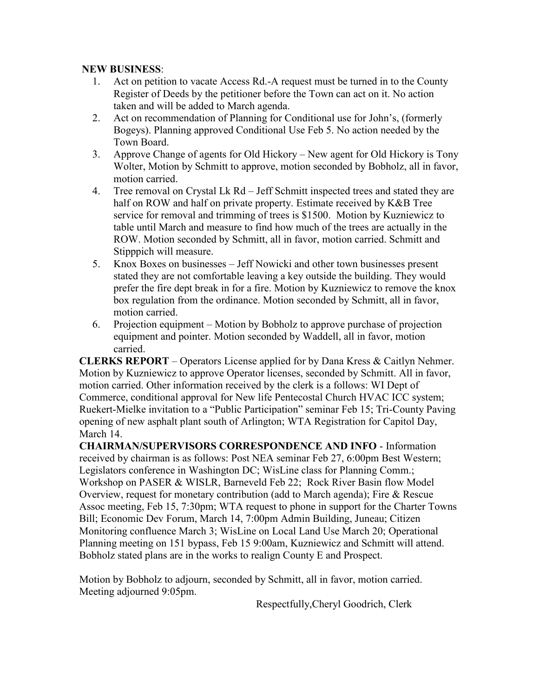### **NEW BUSINESS**:

- 1. Act on petition to vacate Access Rd.-A request must be turned in to the County Register of Deeds by the petitioner before the Town can act on it. No action taken and will be added to March agenda.
- 2. Act on recommendation of Planning for Conditional use for John's, (formerly Bogeys). Planning approved Conditional Use Feb 5. No action needed by the Town Board.
- 3. Approve Change of agents for Old Hickory New agent for Old Hickory is Tony Wolter, Motion by Schmitt to approve, motion seconded by Bobholz, all in favor, motion carried.
- 4. Tree removal on Crystal Lk Rd Jeff Schmitt inspected trees and stated they are half on ROW and half on private property. Estimate received by K&B Tree service for removal and trimming of trees is \$1500. Motion by Kuzniewicz to table until March and measure to find how much of the trees are actually in the ROW. Motion seconded by Schmitt, all in favor, motion carried. Schmitt and Stipppich will measure.
- 5. Knox Boxes on businesses Jeff Nowicki and other town businesses present stated they are not comfortable leaving a key outside the building. They would prefer the fire dept break in for a fire. Motion by Kuzniewicz to remove the knox box regulation from the ordinance. Motion seconded by Schmitt, all in favor, motion carried.
- 6. Projection equipment Motion by Bobholz to approve purchase of projection equipment and pointer. Motion seconded by Waddell, all in favor, motion carried.

**CLERKS REPORT** – Operators License applied for by Dana Kress & Caitlyn Nehmer. Motion by Kuzniewicz to approve Operator licenses, seconded by Schmitt. All in favor, motion carried. Other information received by the clerk is a follows: WI Dept of Commerce, conditional approval for New life Pentecostal Church HVAC ICC system; Ruekert-Mielke invitation to a "Public Participation" seminar Feb 15; Tri-County Paving opening of new asphalt plant south of Arlington; WTA Registration for Capitol Day, March 14.

**CHAIRMAN/SUPERVISORS CORRESPONDENCE AND INFO** - Information received by chairman is as follows: Post NEA seminar Feb 27, 6:00pm Best Western; Legislators conference in Washington DC; WisLine class for Planning Comm.; Workshop on PASER & WISLR, Barneveld Feb 22; Rock River Basin flow Model Overview, request for monetary contribution (add to March agenda); Fire & Rescue Assoc meeting, Feb 15, 7:30pm; WTA request to phone in support for the Charter Towns Bill; Economic Dev Forum, March 14, 7:00pm Admin Building, Juneau; Citizen Monitoring confluence March 3; WisLine on Local Land Use March 20; Operational Planning meeting on 151 bypass, Feb 15 9:00am, Kuzniewicz and Schmitt will attend. Bobholz stated plans are in the works to realign County E and Prospect.

Motion by Bobholz to adjourn, seconded by Schmitt, all in favor, motion carried. Meeting adjourned 9:05pm.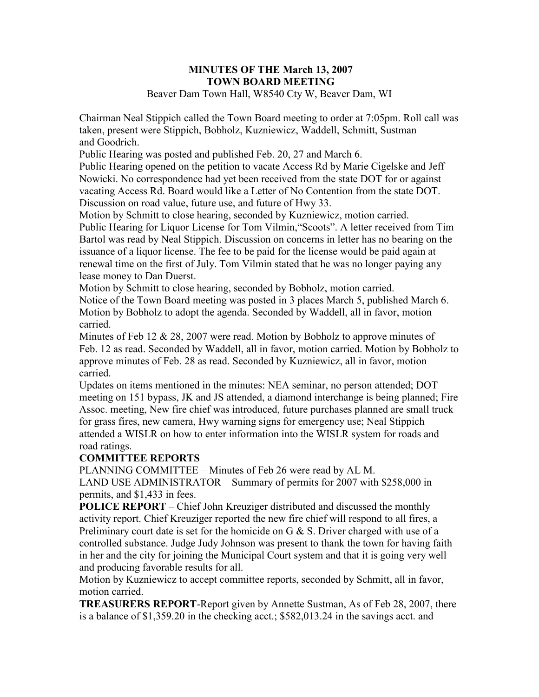#### **MINUTES OF THE March 13, 2007 TOWN BOARD MEETING**  Beaver Dam Town Hall, W8540 Cty W, Beaver Dam, WI

Chairman Neal Stippich called the Town Board meeting to order at 7:05pm. Roll call was taken, present were Stippich, Bobholz, Kuzniewicz, Waddell, Schmitt, Sustman and Goodrich.

Public Hearing was posted and published Feb. 20, 27 and March 6.

Public Hearing opened on the petition to vacate Access Rd by Marie Cigelske and Jeff Nowicki. No correspondence had yet been received from the state DOT for or against vacating Access Rd. Board would like a Letter of No Contention from the state DOT. Discussion on road value, future use, and future of Hwy 33.

Motion by Schmitt to close hearing, seconded by Kuzniewicz, motion carried. Public Hearing for Liquor License for Tom Vilmin,"Scoots". A letter received from Tim Bartol was read by Neal Stippich. Discussion on concerns in letter has no bearing on the issuance of a liquor license. The fee to be paid for the license would be paid again at renewal time on the first of July. Tom Vilmin stated that he was no longer paying any lease money to Dan Duerst.

Motion by Schmitt to close hearing, seconded by Bobholz, motion carried. Notice of the Town Board meeting was posted in 3 places March 5, published March 6. Motion by Bobholz to adopt the agenda. Seconded by Waddell, all in favor, motion carried.

Minutes of Feb 12 & 28, 2007 were read. Motion by Bobholz to approve minutes of Feb. 12 as read. Seconded by Waddell, all in favor, motion carried. Motion by Bobholz to approve minutes of Feb. 28 as read. Seconded by Kuzniewicz, all in favor, motion carried.

Updates on items mentioned in the minutes: NEA seminar, no person attended; DOT meeting on 151 bypass, JK and JS attended, a diamond interchange is being planned; Fire Assoc. meeting, New fire chief was introduced, future purchases planned are small truck for grass fires, new camera, Hwy warning signs for emergency use; Neal Stippich attended a WISLR on how to enter information into the WISLR system for roads and road ratings.

### **COMMITTEE REPORTS**

PLANNING COMMITTEE – Minutes of Feb 26 were read by AL M. LAND USE ADMINISTRATOR – Summary of permits for 2007 with \$258,000 in permits, and \$1,433 in fees.

**POLICE REPORT** – Chief John Kreuziger distributed and discussed the monthly activity report. Chief Kreuziger reported the new fire chief will respond to all fires, a Preliminary court date is set for the homicide on G  $&$  S. Driver charged with use of a controlled substance. Judge Judy Johnson was present to thank the town for having faith in her and the city for joining the Municipal Court system and that it is going very well and producing favorable results for all.

Motion by Kuzniewicz to accept committee reports, seconded by Schmitt, all in favor, motion carried.

**TREASURERS REPORT**-Report given by Annette Sustman, As of Feb 28, 2007, there is a balance of \$1,359.20 in the checking acct.; \$582,013.24 in the savings acct. and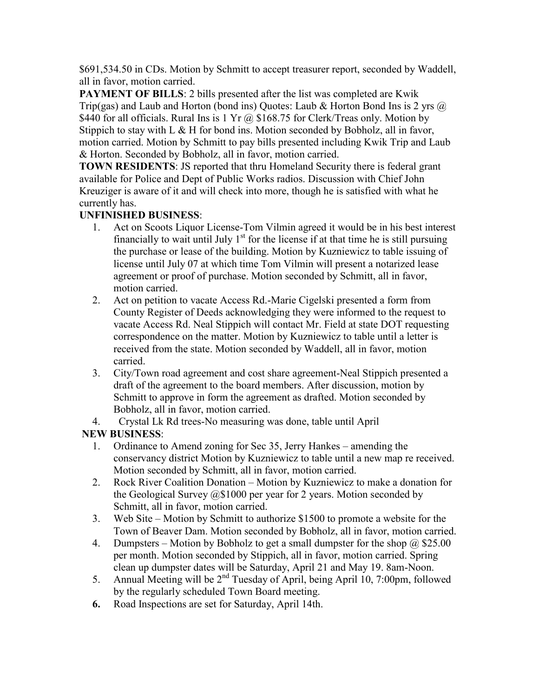\$691,534.50 in CDs. Motion by Schmitt to accept treasurer report, seconded by Waddell, all in favor, motion carried.

**PAYMENT OF BILLS:** 2 bills presented after the list was completed are Kwik Trip(gas) and Laub and Horton (bond ins) Quotes: Laub & Horton Bond Ins is 2 yrs  $\omega$ \$440 for all officials. Rural Ins is 1 Yr  $\omega$ , \$168.75 for Clerk/Treas only. Motion by Stippich to stay with L  $\&$  H for bond ins. Motion seconded by Bobholz, all in favor, motion carried. Motion by Schmitt to pay bills presented including Kwik Trip and Laub & Horton. Seconded by Bobholz, all in favor, motion carried.

**TOWN RESIDENTS**: JS reported that thru Homeland Security there is federal grant available for Police and Dept of Public Works radios. Discussion with Chief John Kreuziger is aware of it and will check into more, though he is satisfied with what he currently has.

## **UNFINISHED BUSINESS**:

- 1. Act on Scoots Liquor License-Tom Vilmin agreed it would be in his best interest financially to wait until July  $1<sup>st</sup>$  for the license if at that time he is still pursuing the purchase or lease of the building. Motion by Kuzniewicz to table issuing of license until July 07 at which time Tom Vilmin will present a notarized lease agreement or proof of purchase. Motion seconded by Schmitt, all in favor, motion carried.
- 2. Act on petition to vacate Access Rd.-Marie Cigelski presented a form from County Register of Deeds acknowledging they were informed to the request to vacate Access Rd. Neal Stippich will contact Mr. Field at state DOT requesting correspondence on the matter. Motion by Kuzniewicz to table until a letter is received from the state. Motion seconded by Waddell, all in favor, motion carried.
- 3. City/Town road agreement and cost share agreement-Neal Stippich presented a draft of the agreement to the board members. After discussion, motion by Schmitt to approve in form the agreement as drafted. Motion seconded by Bobholz, all in favor, motion carried.
- 4. Crystal Lk Rd trees-No measuring was done, table until April

## **NEW BUSINESS**:

- 1. Ordinance to Amend zoning for Sec 35, Jerry Hankes amending the conservancy district Motion by Kuzniewicz to table until a new map re received. Motion seconded by Schmitt, all in favor, motion carried.
- 2. Rock River Coalition Donation Motion by Kuzniewicz to make a donation for the Geological Survey @\$1000 per year for 2 years. Motion seconded by Schmitt, all in favor, motion carried.
- 3. Web Site Motion by Schmitt to authorize \$1500 to promote a website for the Town of Beaver Dam. Motion seconded by Bobholz, all in favor, motion carried.
- 4. Dumpsters Motion by Bobholz to get a small dumpster for the shop  $\omega$  \$25.00 per month. Motion seconded by Stippich, all in favor, motion carried. Spring clean up dumpster dates will be Saturday, April 21 and May 19. 8am-Noon.
- 5. Annual Meeting will be 2nd Tuesday of April, being April 10, 7:00pm, followed by the regularly scheduled Town Board meeting.
- **6.** Road Inspections are set for Saturday, April 14th.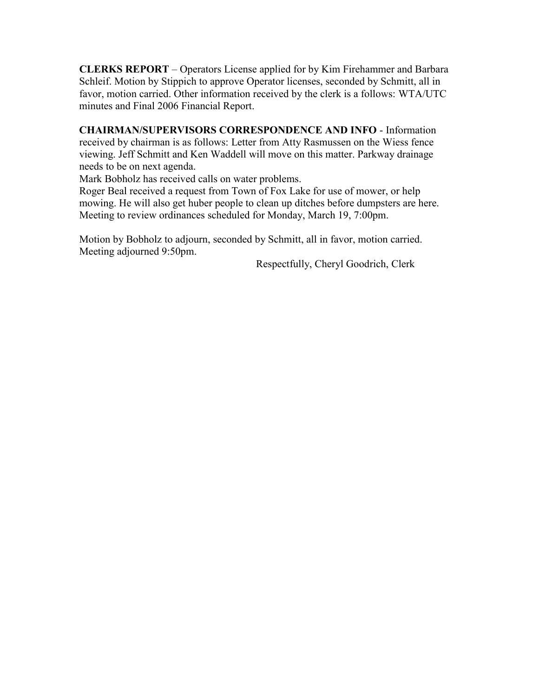**CLERKS REPORT** – Operators License applied for by Kim Firehammer and Barbara Schleif. Motion by Stippich to approve Operator licenses, seconded by Schmitt, all in favor, motion carried. Other information received by the clerk is a follows: WTA/UTC minutes and Final 2006 Financial Report.

**CHAIRMAN/SUPERVISORS CORRESPONDENCE AND INFO** - Information received by chairman is as follows: Letter from Atty Rasmussen on the Wiess fence viewing. Jeff Schmitt and Ken Waddell will move on this matter. Parkway drainage needs to be on next agenda.

Mark Bobholz has received calls on water problems.

Roger Beal received a request from Town of Fox Lake for use of mower, or help mowing. He will also get huber people to clean up ditches before dumpsters are here. Meeting to review ordinances scheduled for Monday, March 19, 7:00pm.

Motion by Bobholz to adjourn, seconded by Schmitt, all in favor, motion carried. Meeting adjourned 9:50pm.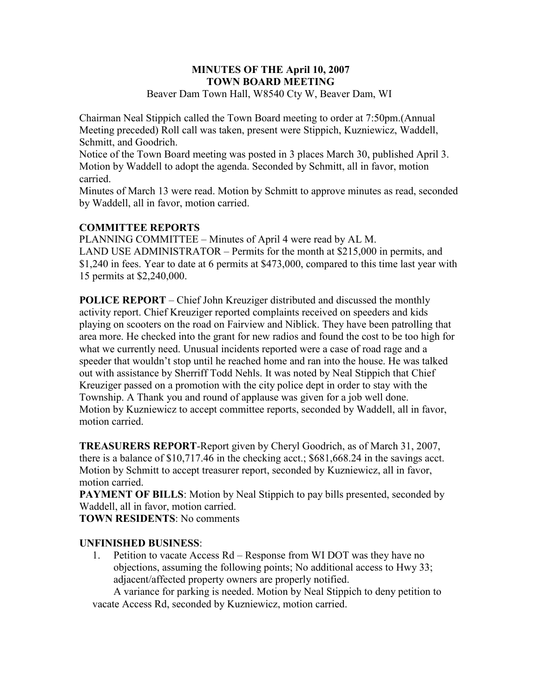#### **MINUTES OF THE April 10, 2007 TOWN BOARD MEETING**  Beaver Dam Town Hall, W8540 Cty W, Beaver Dam, WI

Chairman Neal Stippich called the Town Board meeting to order at 7:50pm.(Annual Meeting preceded) Roll call was taken, present were Stippich, Kuzniewicz, Waddell, Schmitt, and Goodrich.

Notice of the Town Board meeting was posted in 3 places March 30, published April 3. Motion by Waddell to adopt the agenda. Seconded by Schmitt, all in favor, motion carried.

Minutes of March 13 were read. Motion by Schmitt to approve minutes as read, seconded by Waddell, all in favor, motion carried.

## **COMMITTEE REPORTS**

PLANNING COMMITTEE – Minutes of April 4 were read by AL M. LAND USE ADMINISTRATOR – Permits for the month at \$215,000 in permits, and \$1,240 in fees. Year to date at 6 permits at \$473,000, compared to this time last year with 15 permits at \$2,240,000.

**POLICE REPORT** – Chief John Kreuziger distributed and discussed the monthly activity report. Chief Kreuziger reported complaints received on speeders and kids playing on scooters on the road on Fairview and Niblick. They have been patrolling that area more. He checked into the grant for new radios and found the cost to be too high for what we currently need. Unusual incidents reported were a case of road rage and a speeder that wouldn't stop until he reached home and ran into the house. He was talked out with assistance by Sherriff Todd Nehls. It was noted by Neal Stippich that Chief Kreuziger passed on a promotion with the city police dept in order to stay with the Township. A Thank you and round of applause was given for a job well done. Motion by Kuzniewicz to accept committee reports, seconded by Waddell, all in favor, motion carried.

**TREASURERS REPORT**-Report given by Cheryl Goodrich, as of March 31, 2007, there is a balance of \$10,717.46 in the checking acct.; \$681,668.24 in the savings acct. Motion by Schmitt to accept treasurer report, seconded by Kuzniewicz, all in favor, motion carried.

**PAYMENT OF BILLS:** Motion by Neal Stippich to pay bills presented, seconded by Waddell, all in favor, motion carried.

**TOWN RESIDENTS**: No comments

### **UNFINISHED BUSINESS**:

1. Petition to vacate Access Rd – Response from WI DOT was they have no objections, assuming the following points; No additional access to Hwy 33; adjacent/affected property owners are properly notified.

A variance for parking is needed. Motion by Neal Stippich to deny petition to vacate Access Rd, seconded by Kuzniewicz, motion carried.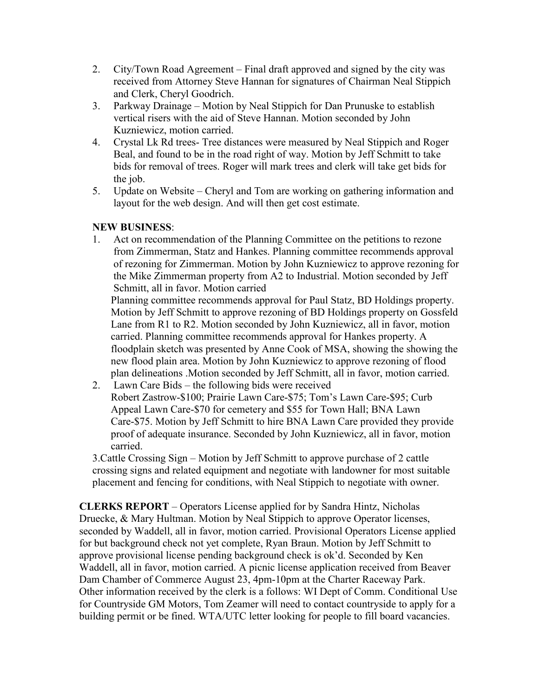- 2. City/Town Road Agreement Final draft approved and signed by the city was received from Attorney Steve Hannan for signatures of Chairman Neal Stippich and Clerk, Cheryl Goodrich.
- 3. Parkway Drainage Motion by Neal Stippich for Dan Prunuske to establish vertical risers with the aid of Steve Hannan. Motion seconded by John Kuzniewicz, motion carried.
- 4. Crystal Lk Rd trees- Tree distances were measured by Neal Stippich and Roger Beal, and found to be in the road right of way. Motion by Jeff Schmitt to take bids for removal of trees. Roger will mark trees and clerk will take get bids for the job.
- 5. Update on Website Cheryl and Tom are working on gathering information and layout for the web design. And will then get cost estimate.

## **NEW BUSINESS**:

1. Act on recommendation of the Planning Committee on the petitions to rezone from Zimmerman, Statz and Hankes. Planning committee recommends approval of rezoning for Zimmerman. Motion by John Kuzniewicz to approve rezoning for the Mike Zimmerman property from A2 to Industrial. Motion seconded by Jeff Schmitt, all in favor. Motion carried

Planning committee recommends approval for Paul Statz, BD Holdings property. Motion by Jeff Schmitt to approve rezoning of BD Holdings property on Gossfeld Lane from R1 to R2. Motion seconded by John Kuzniewicz, all in favor, motion carried. Planning committee recommends approval for Hankes property. A floodplain sketch was presented by Anne Cook of MSA, showing the showing the new flood plain area. Motion by John Kuzniewicz to approve rezoning of flood plan delineations .Motion seconded by Jeff Schmitt, all in favor, motion carried.

 2. Lawn Care Bids – the following bids were received Robert Zastrow-\$100; Prairie Lawn Care-\$75; Tom's Lawn Care-\$95; Curb Appeal Lawn Care-\$70 for cemetery and \$55 for Town Hall; BNA Lawn Care-\$75. Motion by Jeff Schmitt to hire BNA Lawn Care provided they provide proof of adequate insurance. Seconded by John Kuzniewicz, all in favor, motion carried.

3.Cattle Crossing Sign – Motion by Jeff Schmitt to approve purchase of 2 cattle crossing signs and related equipment and negotiate with landowner for most suitable placement and fencing for conditions, with Neal Stippich to negotiate with owner.

**CLERKS REPORT** – Operators License applied for by Sandra Hintz, Nicholas Druecke, & Mary Hultman. Motion by Neal Stippich to approve Operator licenses, seconded by Waddell, all in favor, motion carried. Provisional Operators License applied for but background check not yet complete, Ryan Braun. Motion by Jeff Schmitt to approve provisional license pending background check is ok'd. Seconded by Ken Waddell, all in favor, motion carried. A picnic license application received from Beaver Dam Chamber of Commerce August 23, 4pm-10pm at the Charter Raceway Park. Other information received by the clerk is a follows: WI Dept of Comm. Conditional Use for Countryside GM Motors, Tom Zeamer will need to contact countryside to apply for a building permit or be fined. WTA/UTC letter looking for people to fill board vacancies.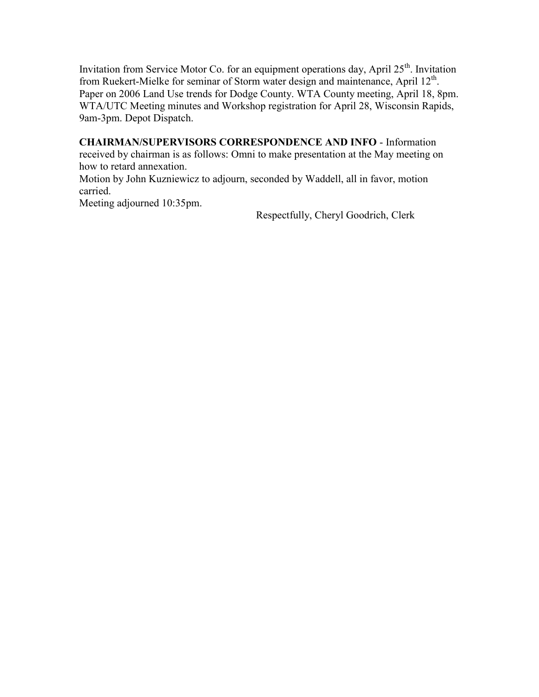Invitation from Service Motor Co. for an equipment operations day, April  $25<sup>th</sup>$ . Invitation from Ruekert-Mielke for seminar of Storm water design and maintenance, April  $12<sup>th</sup>$ . Paper on 2006 Land Use trends for Dodge County. WTA County meeting, April 18, 8pm. WTA/UTC Meeting minutes and Workshop registration for April 28, Wisconsin Rapids, 9am-3pm. Depot Dispatch.

**CHAIRMAN/SUPERVISORS CORRESPONDENCE AND INFO** - Information received by chairman is as follows: Omni to make presentation at the May meeting on how to retard annexation.

Motion by John Kuzniewicz to adjourn, seconded by Waddell, all in favor, motion carried.

Meeting adjourned 10:35pm.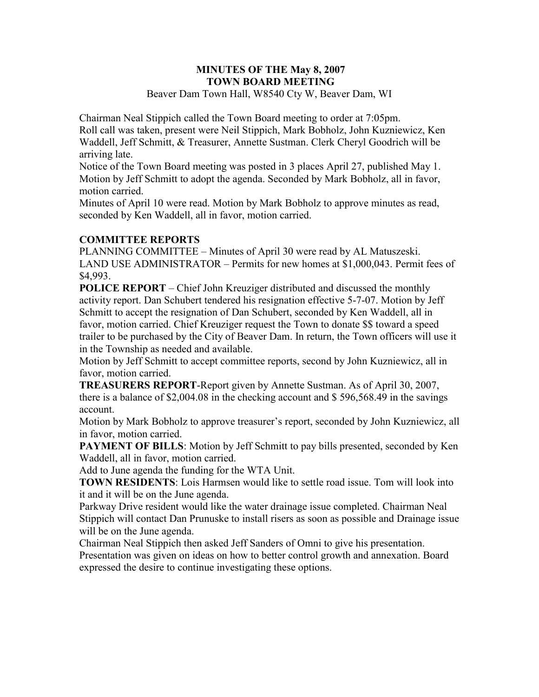#### **MINUTES OF THE May 8, 2007 TOWN BOARD MEETING**  Beaver Dam Town Hall, W8540 Cty W, Beaver Dam, WI

Chairman Neal Stippich called the Town Board meeting to order at 7:05pm. Roll call was taken, present were Neil Stippich, Mark Bobholz, John Kuzniewicz, Ken Waddell, Jeff Schmitt, & Treasurer, Annette Sustman. Clerk Cheryl Goodrich will be arriving late.

Notice of the Town Board meeting was posted in 3 places April 27, published May 1. Motion by Jeff Schmitt to adopt the agenda. Seconded by Mark Bobholz, all in favor, motion carried.

Minutes of April 10 were read. Motion by Mark Bobholz to approve minutes as read, seconded by Ken Waddell, all in favor, motion carried.

## **COMMITTEE REPORTS**

PLANNING COMMITTEE – Minutes of April 30 were read by AL Matuszeski. LAND USE ADMINISTRATOR – Permits for new homes at \$1,000,043. Permit fees of \$4,993.

**POLICE REPORT** – Chief John Kreuziger distributed and discussed the monthly activity report. Dan Schubert tendered his resignation effective 5-7-07. Motion by Jeff Schmitt to accept the resignation of Dan Schubert, seconded by Ken Waddell, all in favor, motion carried. Chief Kreuziger request the Town to donate \$\$ toward a speed trailer to be purchased by the City of Beaver Dam. In return, the Town officers will use it in the Township as needed and available.

Motion by Jeff Schmitt to accept committee reports, second by John Kuzniewicz, all in favor, motion carried.

**TREASURERS REPORT**-Report given by Annette Sustman. As of April 30, 2007, there is a balance of \$2,004.08 in the checking account and \$ 596,568.49 in the savings account.

Motion by Mark Bobholz to approve treasurer's report, seconded by John Kuzniewicz, all in favor, motion carried.

**PAYMENT OF BILLS**: Motion by Jeff Schmitt to pay bills presented, seconded by Ken Waddell, all in favor, motion carried.

Add to June agenda the funding for the WTA Unit.

**TOWN RESIDENTS**: Lois Harmsen would like to settle road issue. Tom will look into it and it will be on the June agenda.

Parkway Drive resident would like the water drainage issue completed. Chairman Neal Stippich will contact Dan Prunuske to install risers as soon as possible and Drainage issue will be on the June agenda.

Chairman Neal Stippich then asked Jeff Sanders of Omni to give his presentation. Presentation was given on ideas on how to better control growth and annexation. Board expressed the desire to continue investigating these options.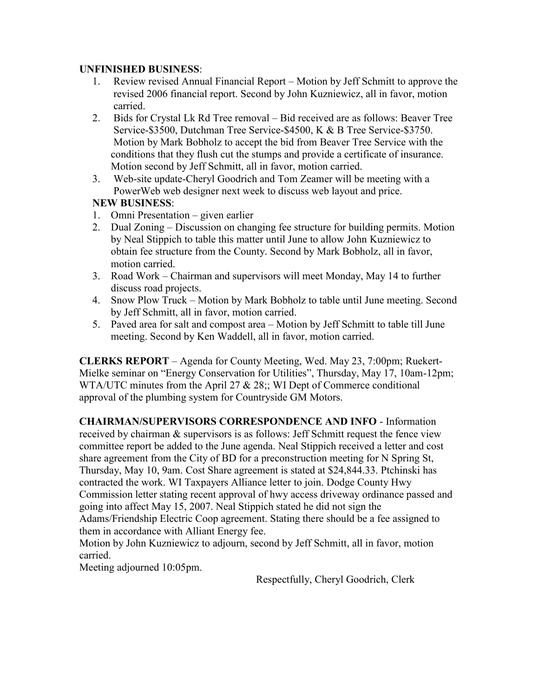### **UNFINISHED BUSINESS**:

- 1. Review revised Annual Financial Report Motion by Jeff Schmitt to approve the revised 2006 financial report. Second by John Kuzniewicz, all in favor, motion carried.
- 2. Bids for Crystal Lk Rd Tree removal Bid received are as follows: Beaver Tree Service-\$3500, Dutchman Tree Service-\$4500, K & B Tree Service-\$3750. Motion by Mark Bobholz to accept the bid from Beaver Tree Service with the conditions that they flush cut the stumps and provide a certificate of insurance. Motion second by Jeff Schmitt, all in favor, motion carried.
- 3. Web-site update-Cheryl Goodrich and Tom Zeamer will be meeting with a PowerWeb web designer next week to discuss web layout and price.

## **NEW BUSINESS**:

- 1. Omni Presentation given earlier
- 2. Dual Zoning Discussion on changing fee structure for building permits. Motion by Neal Stippich to table this matter until June to allow John Kuzniewicz to obtain fee structure from the County. Second by Mark Bobholz, all in favor, motion carried.
- 3. Road Work Chairman and supervisors will meet Monday, May 14 to further discuss road projects.
- 4. Snow Plow Truck Motion by Mark Bobholz to table until June meeting. Second by Jeff Schmitt, all in favor, motion carried.
- 5. Paved area for salt and compost area Motion by Jeff Schmitt to table till June meeting. Second by Ken Waddell, all in favor, motion carried.

**CLERKS REPORT** – Agenda for County Meeting, Wed. May 23, 7:00pm; Ruekert-Mielke seminar on "Energy Conservation for Utilities", Thursday, May 17, 10am-12pm; WTA/UTC minutes from the April 27 & 28;; WI Dept of Commerce conditional approval of the plumbing system for Countryside GM Motors.

**CHAIRMAN/SUPERVISORS CORRESPONDENCE AND INFO** - Information received by chairman & supervisors is as follows: Jeff Schmitt request the fence view committee report be added to the June agenda. Neal Stippich received a letter and cost share agreement from the City of BD for a preconstruction meeting for N Spring St, Thursday, May 10, 9am. Cost Share agreement is stated at \$24,844.33. Ptchinski has contracted the work. WI Taxpayers Alliance letter to join. Dodge County Hwy Commission letter stating recent approval of hwy access driveway ordinance passed and going into affect May 15, 2007. Neal Stippich stated he did not sign the Adams/Friendship Electric Coop agreement. Stating there should be a fee assigned to them in accordance with Alliant Energy fee.

Motion by John Kuzniewicz to adjourn, second by Jeff Schmitt, all in favor, motion carried.

Meeting adjourned 10:05pm.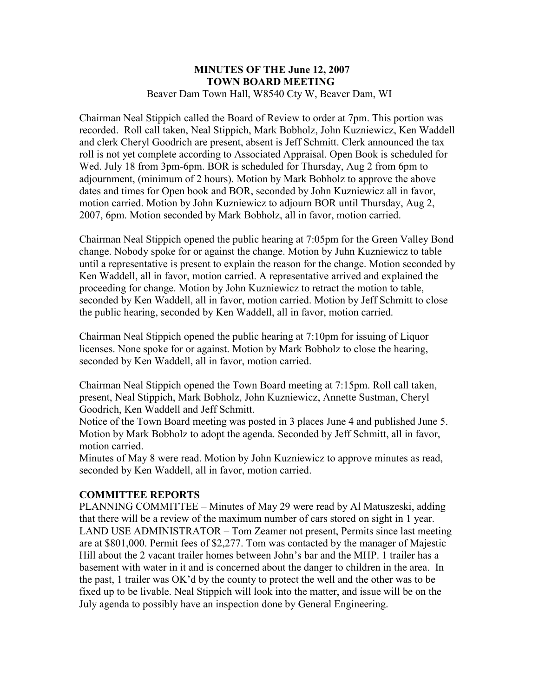#### **MINUTES OF THE June 12, 2007 TOWN BOARD MEETING**  Beaver Dam Town Hall, W8540 Cty W, Beaver Dam, WI

Chairman Neal Stippich called the Board of Review to order at 7pm. This portion was recorded. Roll call taken, Neal Stippich, Mark Bobholz, John Kuzniewicz, Ken Waddell and clerk Cheryl Goodrich are present, absent is Jeff Schmitt. Clerk announced the tax roll is not yet complete according to Associated Appraisal. Open Book is scheduled for Wed. July 18 from 3pm-6pm. BOR is scheduled for Thursday, Aug 2 from 6pm to adjournment, (minimum of 2 hours). Motion by Mark Bobholz to approve the above dates and times for Open book and BOR, seconded by John Kuzniewicz all in favor, motion carried. Motion by John Kuzniewicz to adjourn BOR until Thursday, Aug 2, 2007, 6pm. Motion seconded by Mark Bobholz, all in favor, motion carried.

Chairman Neal Stippich opened the public hearing at 7:05pm for the Green Valley Bond change. Nobody spoke for or against the change. Motion by Juhn Kuzniewicz to table until a representative is present to explain the reason for the change. Motion seconded by Ken Waddell, all in favor, motion carried. A representative arrived and explained the proceeding for change. Motion by John Kuzniewicz to retract the motion to table, seconded by Ken Waddell, all in favor, motion carried. Motion by Jeff Schmitt to close the public hearing, seconded by Ken Waddell, all in favor, motion carried.

Chairman Neal Stippich opened the public hearing at 7:10pm for issuing of Liquor licenses. None spoke for or against. Motion by Mark Bobholz to close the hearing, seconded by Ken Waddell, all in favor, motion carried.

Chairman Neal Stippich opened the Town Board meeting at 7:15pm. Roll call taken, present, Neal Stippich, Mark Bobholz, John Kuzniewicz, Annette Sustman, Cheryl Goodrich, Ken Waddell and Jeff Schmitt.

Notice of the Town Board meeting was posted in 3 places June 4 and published June 5. Motion by Mark Bobholz to adopt the agenda. Seconded by Jeff Schmitt, all in favor, motion carried.

Minutes of May 8 were read. Motion by John Kuzniewicz to approve minutes as read, seconded by Ken Waddell, all in favor, motion carried.

### **COMMITTEE REPORTS**

PLANNING COMMITTEE – Minutes of May 29 were read by Al Matuszeski, adding that there will be a review of the maximum number of cars stored on sight in 1 year. LAND USE ADMINISTRATOR – Tom Zeamer not present, Permits since last meeting are at \$801,000. Permit fees of \$2,277. Tom was contacted by the manager of Majestic Hill about the 2 vacant trailer homes between John's bar and the MHP. 1 trailer has a basement with water in it and is concerned about the danger to children in the area. In the past, 1 trailer was OK'd by the county to protect the well and the other was to be fixed up to be livable. Neal Stippich will look into the matter, and issue will be on the July agenda to possibly have an inspection done by General Engineering.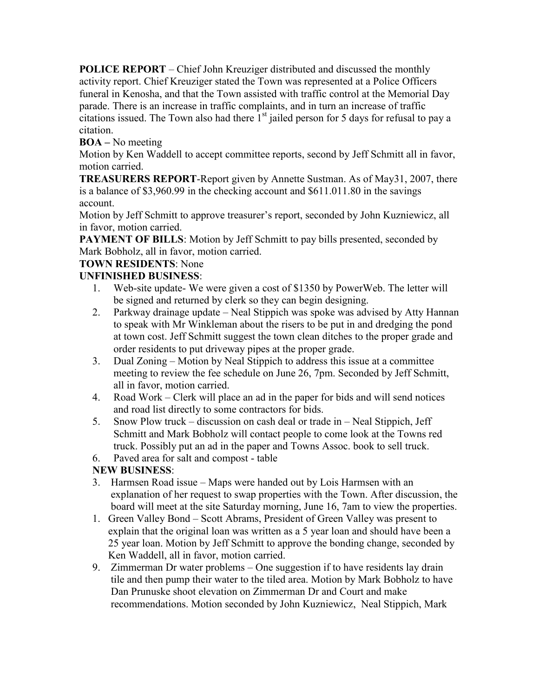**POLICE REPORT** – Chief John Kreuziger distributed and discussed the monthly activity report. Chief Kreuziger stated the Town was represented at a Police Officers funeral in Kenosha, and that the Town assisted with traffic control at the Memorial Day parade. There is an increase in traffic complaints, and in turn an increase of traffic citations issued. The Town also had there  $1<sup>st</sup>$  jailed person for 5 days for refusal to pay a citation.

## **BOA –** No meeting

Motion by Ken Waddell to accept committee reports, second by Jeff Schmitt all in favor, motion carried.

**TREASURERS REPORT**-Report given by Annette Sustman. As of May31, 2007, there is a balance of \$3,960.99 in the checking account and \$611.011.80 in the savings account.

Motion by Jeff Schmitt to approve treasurer's report, seconded by John Kuzniewicz, all in favor, motion carried.

**PAYMENT OF BILLS:** Motion by Jeff Schmitt to pay bills presented, seconded by Mark Bobholz, all in favor, motion carried.

## **TOWN RESIDENTS**: None

## **UNFINISHED BUSINESS**:

- 1. Web-site update- We were given a cost of \$1350 by PowerWeb. The letter will be signed and returned by clerk so they can begin designing.
- 2. Parkway drainage update Neal Stippich was spoke was advised by Atty Hannan to speak with Mr Winkleman about the risers to be put in and dredging the pond at town cost. Jeff Schmitt suggest the town clean ditches to the proper grade and order residents to put driveway pipes at the proper grade.
- 3. Dual Zoning Motion by Neal Stippich to address this issue at a committee meeting to review the fee schedule on June 26, 7pm. Seconded by Jeff Schmitt, all in favor, motion carried.
- 4. Road Work Clerk will place an ad in the paper for bids and will send notices and road list directly to some contractors for bids.
- 5. Snow Plow truck discussion on cash deal or trade in Neal Stippich, Jeff Schmitt and Mark Bobholz will contact people to come look at the Towns red truck. Possibly put an ad in the paper and Towns Assoc. book to sell truck.
- 6. Paved area for salt and compost table

## **NEW BUSINESS**:

- 3. Harmsen Road issue Maps were handed out by Lois Harmsen with an explanation of her request to swap properties with the Town. After discussion, the board will meet at the site Saturday morning, June 16, 7am to view the properties.
- 1. Green Valley Bond Scott Abrams, President of Green Valley was present to explain that the original loan was written as a 5 year loan and should have been a 25 year loan. Motion by Jeff Schmitt to approve the bonding change, seconded by Ken Waddell, all in favor, motion carried.
- 9. Zimmerman Dr water problems One suggestion if to have residents lay drain tile and then pump their water to the tiled area. Motion by Mark Bobholz to have Dan Prunuske shoot elevation on Zimmerman Dr and Court and make recommendations. Motion seconded by John Kuzniewicz, Neal Stippich, Mark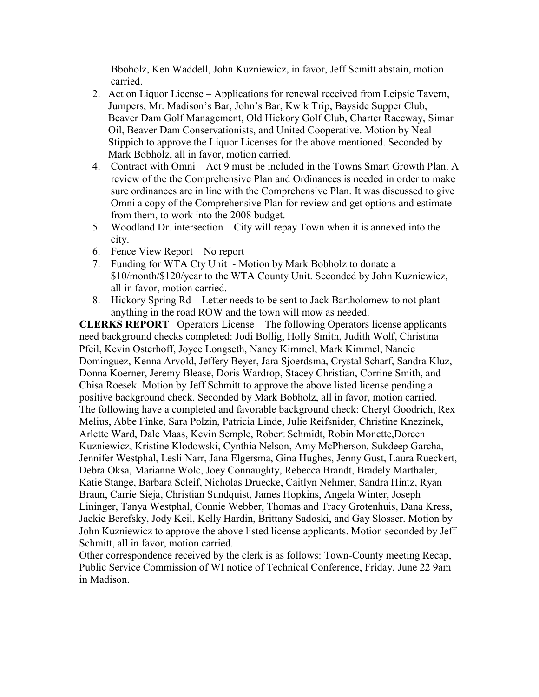Bboholz, Ken Waddell, John Kuzniewicz, in favor, Jeff Scmitt abstain, motion carried.

- 2. Act on Liquor License Applications for renewal received from Leipsic Tavern, Jumpers, Mr. Madison's Bar, John's Bar, Kwik Trip, Bayside Supper Club, Beaver Dam Golf Management, Old Hickory Golf Club, Charter Raceway, Simar Oil, Beaver Dam Conservationists, and United Cooperative. Motion by Neal Stippich to approve the Liquor Licenses for the above mentioned. Seconded by Mark Bobholz, all in favor, motion carried.
- 4. Contract with Omni Act 9 must be included in the Towns Smart Growth Plan. A review of the the Comprehensive Plan and Ordinances is needed in order to make sure ordinances are in line with the Comprehensive Plan. It was discussed to give Omni a copy of the Comprehensive Plan for review and get options and estimate from them, to work into the 2008 budget.
- 5. Woodland Dr. intersection City will repay Town when it is annexed into the city.
- 6. Fence View Report No report
- 7. Funding for WTA Cty Unit Motion by Mark Bobholz to donate a \$10/month/\$120/year to the WTA County Unit. Seconded by John Kuzniewicz, all in favor, motion carried.
- 8. Hickory Spring Rd Letter needs to be sent to Jack Bartholomew to not plant anything in the road ROW and the town will mow as needed.

**CLERKS REPORT** –Operators License – The following Operators license applicants need background checks completed: Jodi Bollig, Holly Smith, Judith Wolf, Christina Pfeil, Kevin Osterhoff, Joyce Longseth, Nancy Kimmel, Mark Kimmel, Nancie Dominguez, Kenna Arvold, Jeffery Beyer, Jara Sjoerdsma, Crystal Scharf, Sandra Kluz, Donna Koerner, Jeremy Blease, Doris Wardrop, Stacey Christian, Corrine Smith, and Chisa Roesek. Motion by Jeff Schmitt to approve the above listed license pending a positive background check. Seconded by Mark Bobholz, all in favor, motion carried. The following have a completed and favorable background check: Cheryl Goodrich, Rex Melius, Abbe Finke, Sara Polzin, Patricia Linde, Julie Reifsnider, Christine Knezinek, Arlette Ward, Dale Maas, Kevin Semple, Robert Schmidt, Robin Monette,Doreen Kuzniewicz, Kristine Klodowski, Cynthia Nelson, Amy McPherson, Sukdeep Garcha, Jennifer Westphal, Lesli Narr, Jana Elgersma, Gina Hughes, Jenny Gust, Laura Rueckert, Debra Oksa, Marianne Wolc, Joey Connaughty, Rebecca Brandt, Bradely Marthaler, Katie Stange, Barbara Scleif, Nicholas Druecke, Caitlyn Nehmer, Sandra Hintz, Ryan Braun, Carrie Sieja, Christian Sundquist, James Hopkins, Angela Winter, Joseph Lininger, Tanya Westphal, Connie Webber, Thomas and Tracy Grotenhuis, Dana Kress, Jackie Berefsky, Jody Keil, Kelly Hardin, Brittany Sadoski, and Gay Slosser. Motion by John Kuzniewicz to approve the above listed license applicants. Motion seconded by Jeff Schmitt, all in favor, motion carried.

Other correspondence received by the clerk is as follows: Town-County meeting Recap, Public Service Commission of WI notice of Technical Conference, Friday, June 22 9am in Madison.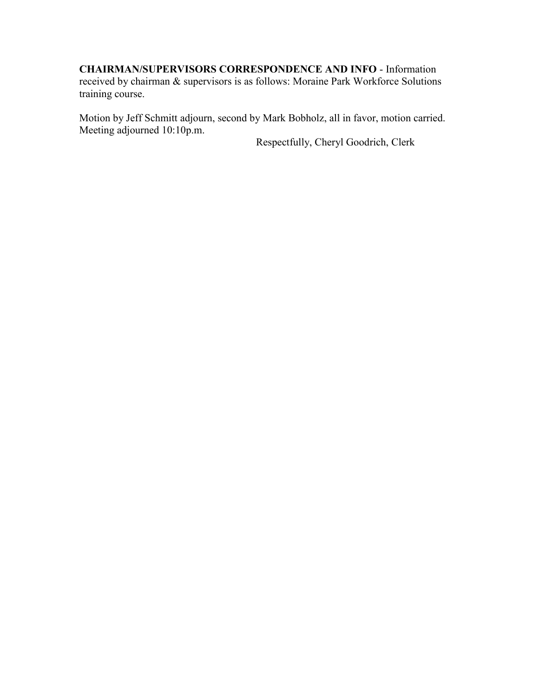#### **CHAIRMAN/SUPERVISORS CORRESPONDENCE AND INFO** - Information

received by chairman & supervisors is as follows: Moraine Park Workforce Solutions training course.

Motion by Jeff Schmitt adjourn, second by Mark Bobholz, all in favor, motion carried. Meeting adjourned 10:10p.m.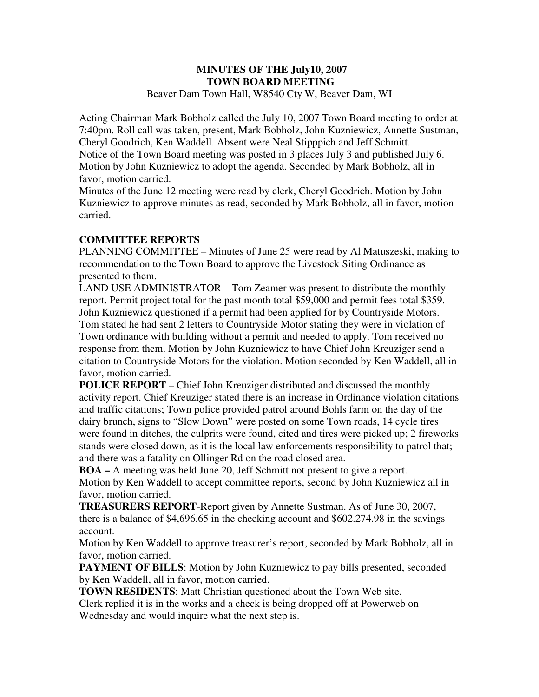#### **MINUTES OF THE July10, 2007 TOWN BOARD MEETING**  Beaver Dam Town Hall, W8540 Cty W, Beaver Dam, WI

Acting Chairman Mark Bobholz called the July 10, 2007 Town Board meeting to order at 7:40pm. Roll call was taken, present, Mark Bobholz, John Kuzniewicz, Annette Sustman, Cheryl Goodrich, Ken Waddell. Absent were Neal Stipppich and Jeff Schmitt. Notice of the Town Board meeting was posted in 3 places July 3 and published July 6. Motion by John Kuzniewicz to adopt the agenda. Seconded by Mark Bobholz, all in favor, motion carried.

Minutes of the June 12 meeting were read by clerk, Cheryl Goodrich. Motion by John Kuzniewicz to approve minutes as read, seconded by Mark Bobholz, all in favor, motion carried.

## **COMMITTEE REPORTS**

PLANNING COMMITTEE – Minutes of June 25 were read by Al Matuszeski, making to recommendation to the Town Board to approve the Livestock Siting Ordinance as presented to them.

LAND USE ADMINISTRATOR – Tom Zeamer was present to distribute the monthly report. Permit project total for the past month total \$59,000 and permit fees total \$359. John Kuzniewicz questioned if a permit had been applied for by Countryside Motors. Tom stated he had sent 2 letters to Countryside Motor stating they were in violation of Town ordinance with building without a permit and needed to apply. Tom received no response from them. Motion by John Kuzniewicz to have Chief John Kreuziger send a citation to Countryside Motors for the violation. Motion seconded by Ken Waddell, all in favor, motion carried.

**POLICE REPORT** – Chief John Kreuziger distributed and discussed the monthly activity report. Chief Kreuziger stated there is an increase in Ordinance violation citations and traffic citations; Town police provided patrol around Bohls farm on the day of the dairy brunch, signs to "Slow Down" were posted on some Town roads, 14 cycle tires were found in ditches, the culprits were found, cited and tires were picked up; 2 fireworks stands were closed down, as it is the local law enforcements responsibility to patrol that; and there was a fatality on Ollinger Rd on the road closed area.

**BOA –** A meeting was held June 20, Jeff Schmitt not present to give a report. Motion by Ken Waddell to accept committee reports, second by John Kuzniewicz all in favor, motion carried.

**TREASURERS REPORT**-Report given by Annette Sustman. As of June 30, 2007, there is a balance of \$4,696.65 in the checking account and \$602.274.98 in the savings account.

Motion by Ken Waddell to approve treasurer's report, seconded by Mark Bobholz, all in favor, motion carried.

**PAYMENT OF BILLS:** Motion by John Kuzniewicz to pay bills presented, seconded by Ken Waddell, all in favor, motion carried.

**TOWN RESIDENTS**: Matt Christian questioned about the Town Web site.

Clerk replied it is in the works and a check is being dropped off at Powerweb on Wednesday and would inquire what the next step is.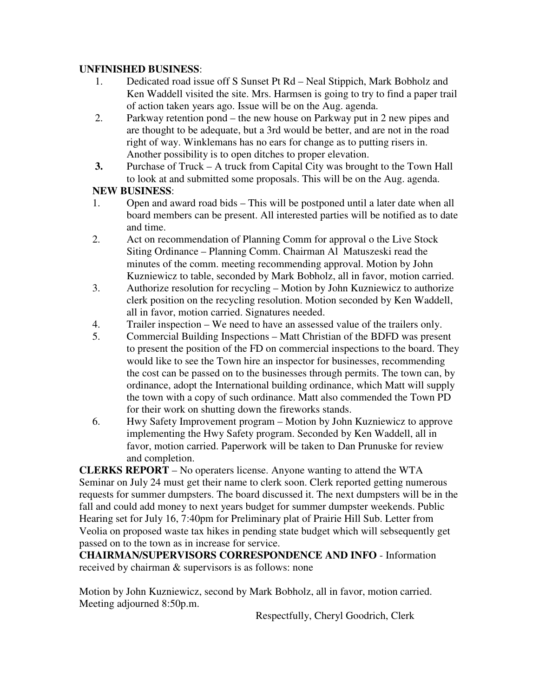### **UNFINISHED BUSINESS**:

- 1. Dedicated road issue off S Sunset Pt Rd Neal Stippich, Mark Bobholz and Ken Waddell visited the site. Mrs. Harmsen is going to try to find a paper trail of action taken years ago. Issue will be on the Aug. agenda.
- 2. Parkway retention pond the new house on Parkway put in 2 new pipes and are thought to be adequate, but a 3rd would be better, and are not in the road right of way. Winklemans has no ears for change as to putting risers in. Another possibility is to open ditches to proper elevation.
- **3.** Purchase of Truck A truck from Capital City was brought to the Town Hall to look at and submitted some proposals. This will be on the Aug. agenda.

## **NEW BUSINESS**:

- 1. Open and award road bids This will be postponed until a later date when all board members can be present. All interested parties will be notified as to date and time.
- 2. Act on recommendation of Planning Comm for approval o the Live Stock Siting Ordinance – Planning Comm. Chairman Al Matuszeski read the minutes of the comm. meeting recommending approval. Motion by John Kuzniewicz to table, seconded by Mark Bobholz, all in favor, motion carried.
- 3. Authorize resolution for recycling Motion by John Kuzniewicz to authorize clerk position on the recycling resolution. Motion seconded by Ken Waddell, all in favor, motion carried. Signatures needed.
- 4. Trailer inspection We need to have an assessed value of the trailers only.
- 5. Commercial Building Inspections Matt Christian of the BDFD was present to present the position of the FD on commercial inspections to the board. They would like to see the Town hire an inspector for businesses, recommending the cost can be passed on to the businesses through permits. The town can, by ordinance, adopt the International building ordinance, which Matt will supply the town with a copy of such ordinance. Matt also commended the Town PD for their work on shutting down the fireworks stands.
- 6. Hwy Safety Improvement program Motion by John Kuzniewicz to approve implementing the Hwy Safety program. Seconded by Ken Waddell, all in favor, motion carried. Paperwork will be taken to Dan Prunuske for review and completion.

**CLERKS REPORT** – No operaters license. Anyone wanting to attend the WTA Seminar on July 24 must get their name to clerk soon. Clerk reported getting numerous requests for summer dumpsters. The board discussed it. The next dumpsters will be in the fall and could add money to next years budget for summer dumpster weekends. Public Hearing set for July 16, 7:40pm for Preliminary plat of Prairie Hill Sub. Letter from Veolia on proposed waste tax hikes in pending state budget which will sebsequently get passed on to the town as in increase for service.

**CHAIRMAN/SUPERVISORS CORRESPONDENCE AND INFO** - Information received by chairman & supervisors is as follows: none

Motion by John Kuzniewicz, second by Mark Bobholz, all in favor, motion carried. Meeting adjourned 8:50p.m.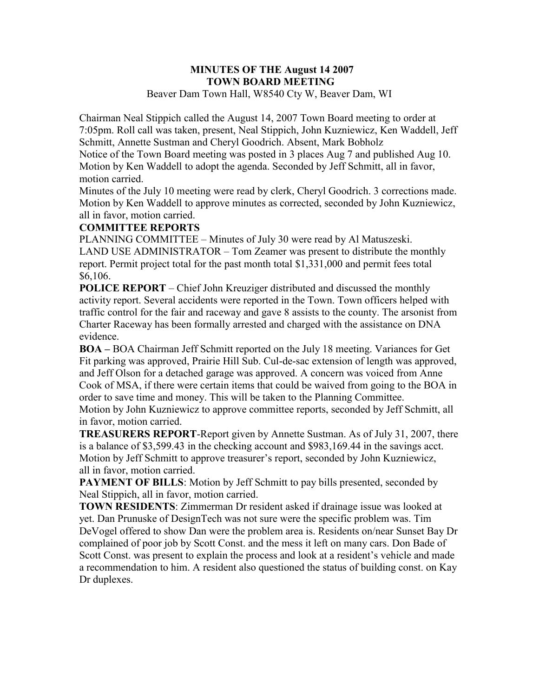#### **MINUTES OF THE August 14 2007 TOWN BOARD MEETING**  Beaver Dam Town Hall, W8540 Cty W, Beaver Dam, WI

Chairman Neal Stippich called the August 14, 2007 Town Board meeting to order at 7:05pm. Roll call was taken, present, Neal Stippich, John Kuzniewicz, Ken Waddell, Jeff Schmitt, Annette Sustman and Cheryl Goodrich. Absent, Mark Bobholz

Notice of the Town Board meeting was posted in 3 places Aug 7 and published Aug 10. Motion by Ken Waddell to adopt the agenda. Seconded by Jeff Schmitt, all in favor, motion carried.

Minutes of the July 10 meeting were read by clerk, Cheryl Goodrich. 3 corrections made. Motion by Ken Waddell to approve minutes as corrected, seconded by John Kuzniewicz, all in favor, motion carried.

#### **COMMITTEE REPORTS**

PLANNING COMMITTEE – Minutes of July 30 were read by Al Matuszeski. LAND USE ADMINISTRATOR – Tom Zeamer was present to distribute the monthly report. Permit project total for the past month total \$1,331,000 and permit fees total \$6,106.

**POLICE REPORT** – Chief John Kreuziger distributed and discussed the monthly activity report. Several accidents were reported in the Town. Town officers helped with traffic control for the fair and raceway and gave 8 assists to the county. The arsonist from Charter Raceway has been formally arrested and charged with the assistance on DNA evidence.

**BOA –** BOA Chairman Jeff Schmitt reported on the July 18 meeting. Variances for Get Fit parking was approved, Prairie Hill Sub. Cul-de-sac extension of length was approved, and Jeff Olson for a detached garage was approved. A concern was voiced from Anne Cook of MSA, if there were certain items that could be waived from going to the BOA in order to save time and money. This will be taken to the Planning Committee. Motion by John Kuzniewicz to approve committee reports, seconded by Jeff Schmitt, all

in favor, motion carried.

**TREASURERS REPORT**-Report given by Annette Sustman. As of July 31, 2007, there is a balance of \$3,599.43 in the checking account and \$983,169.44 in the savings acct. Motion by Jeff Schmitt to approve treasurer's report, seconded by John Kuzniewicz, all in favor, motion carried.

**PAYMENT OF BILLS:** Motion by Jeff Schmitt to pay bills presented, seconded by Neal Stippich, all in favor, motion carried.

**TOWN RESIDENTS**: Zimmerman Dr resident asked if drainage issue was looked at yet. Dan Prunuske of DesignTech was not sure were the specific problem was. Tim DeVogel offered to show Dan were the problem area is. Residents on/near Sunset Bay Dr complained of poor job by Scott Const. and the mess it left on many cars. Don Bade of Scott Const. was present to explain the process and look at a resident's vehicle and made a recommendation to him. A resident also questioned the status of building const. on Kay Dr duplexes.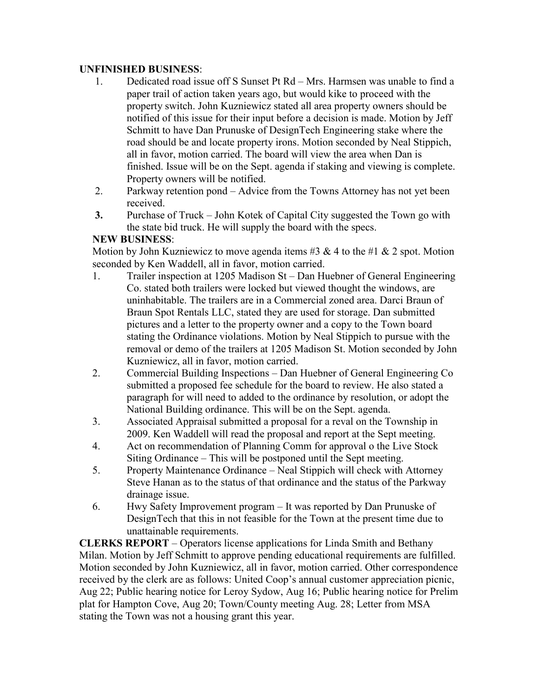### **UNFINISHED BUSINESS**:

- 1. Dedicated road issue off S Sunset Pt Rd Mrs. Harmsen was unable to find a paper trail of action taken years ago, but would kike to proceed with the property switch. John Kuzniewicz stated all area property owners should be notified of this issue for their input before a decision is made. Motion by Jeff Schmitt to have Dan Prunuske of DesignTech Engineering stake where the road should be and locate property irons. Motion seconded by Neal Stippich, all in favor, motion carried. The board will view the area when Dan is finished. Issue will be on the Sept. agenda if staking and viewing is complete. Property owners will be notified.
- 2. Parkway retention pond Advice from the Towns Attorney has not yet been received.
- **3.** Purchase of Truck John Kotek of Capital City suggested the Town go with the state bid truck. He will supply the board with the specs.

## **NEW BUSINESS**:

Motion by John Kuzniewicz to move agenda items #3  $\&$  4 to the #1  $\&$  2 spot. Motion seconded by Ken Waddell, all in favor, motion carried.

- 1. Trailer inspection at 1205 Madison St Dan Huebner of General Engineering Co. stated both trailers were locked but viewed thought the windows, are uninhabitable. The trailers are in a Commercial zoned area. Darci Braun of Braun Spot Rentals LLC, stated they are used for storage. Dan submitted pictures and a letter to the property owner and a copy to the Town board stating the Ordinance violations. Motion by Neal Stippich to pursue with the removal or demo of the trailers at 1205 Madison St. Motion seconded by John Kuzniewicz, all in favor, motion carried.
- 2. Commercial Building Inspections Dan Huebner of General Engineering Co submitted a proposed fee schedule for the board to review. He also stated a paragraph for will need to added to the ordinance by resolution, or adopt the National Building ordinance. This will be on the Sept. agenda.
- 3. Associated Appraisal submitted a proposal for a reval on the Township in 2009. Ken Waddell will read the proposal and report at the Sept meeting.
- 4. Act on recommendation of Planning Comm for approval o the Live Stock Siting Ordinance – This will be postponed until the Sept meeting.
- 5. Property Maintenance Ordinance Neal Stippich will check with Attorney Steve Hanan as to the status of that ordinance and the status of the Parkway drainage issue.
- 6. Hwy Safety Improvement program It was reported by Dan Prunuske of DesignTech that this in not feasible for the Town at the present time due to unattainable requirements.

**CLERKS REPORT** – Operators license applications for Linda Smith and Bethany Milan. Motion by Jeff Schmitt to approve pending educational requirements are fulfilled. Motion seconded by John Kuzniewicz, all in favor, motion carried. Other correspondence received by the clerk are as follows: United Coop's annual customer appreciation picnic, Aug 22; Public hearing notice for Leroy Sydow, Aug 16; Public hearing notice for Prelim plat for Hampton Cove, Aug 20; Town/County meeting Aug. 28; Letter from MSA stating the Town was not a housing grant this year.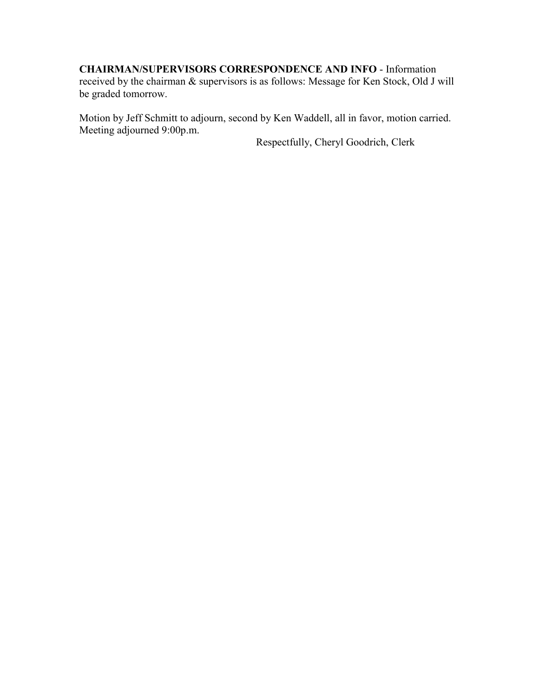## **CHAIRMAN/SUPERVISORS CORRESPONDENCE AND INFO** - Information

received by the chairman & supervisors is as follows: Message for Ken Stock, Old J will be graded tomorrow.

Motion by Jeff Schmitt to adjourn, second by Ken Waddell, all in favor, motion carried. Meeting adjourned 9:00p.m.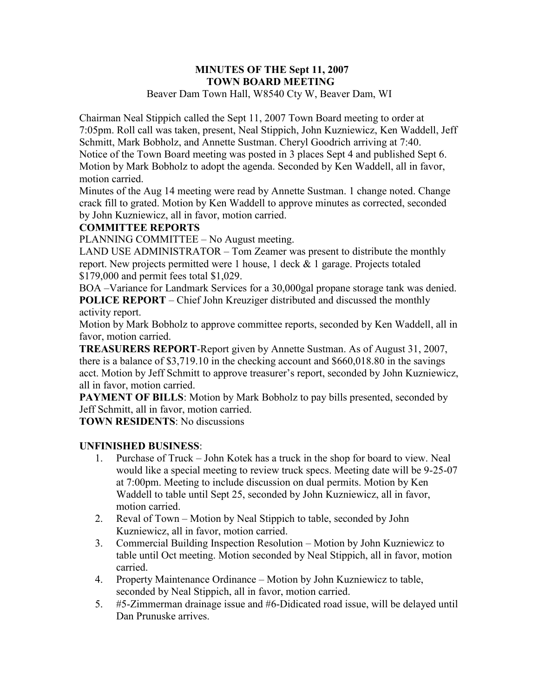#### **MINUTES OF THE Sept 11, 2007 TOWN BOARD MEETING**  Beaver Dam Town Hall, W8540 Cty W, Beaver Dam, WI

Chairman Neal Stippich called the Sept 11, 2007 Town Board meeting to order at 7:05pm. Roll call was taken, present, Neal Stippich, John Kuzniewicz, Ken Waddell, Jeff Schmitt, Mark Bobholz, and Annette Sustman. Cheryl Goodrich arriving at 7:40. Notice of the Town Board meeting was posted in 3 places Sept 4 and published Sept 6. Motion by Mark Bobholz to adopt the agenda. Seconded by Ken Waddell, all in favor, motion carried.

Minutes of the Aug 14 meeting were read by Annette Sustman. 1 change noted. Change crack fill to grated. Motion by Ken Waddell to approve minutes as corrected, seconded by John Kuzniewicz, all in favor, motion carried.

## **COMMITTEE REPORTS**

PLANNING COMMITTEE – No August meeting.

LAND USE ADMINISTRATOR – Tom Zeamer was present to distribute the monthly report. New projects permitted were 1 house, 1 deck & 1 garage. Projects totaled \$179,000 and permit fees total \$1,029.

BOA –Variance for Landmark Services for a 30,000gal propane storage tank was denied. **POLICE REPORT** – Chief John Kreuziger distributed and discussed the monthly activity report.

Motion by Mark Bobholz to approve committee reports, seconded by Ken Waddell, all in favor, motion carried.

**TREASURERS REPORT**-Report given by Annette Sustman. As of August 31, 2007, there is a balance of \$3,719.10 in the checking account and \$660,018.80 in the savings acct. Motion by Jeff Schmitt to approve treasurer's report, seconded by John Kuzniewicz, all in favor, motion carried.

**PAYMENT OF BILLS:** Motion by Mark Bobholz to pay bills presented, seconded by Jeff Schmitt, all in favor, motion carried.

**TOWN RESIDENTS**: No discussions

### **UNFINISHED BUSINESS**:

- 1. Purchase of Truck John Kotek has a truck in the shop for board to view. Neal would like a special meeting to review truck specs. Meeting date will be 9-25-07 at 7:00pm. Meeting to include discussion on dual permits. Motion by Ken Waddell to table until Sept 25, seconded by John Kuzniewicz, all in favor, motion carried.
- 2. Reval of Town Motion by Neal Stippich to table, seconded by John Kuzniewicz, all in favor, motion carried.
- 3. Commercial Building Inspection Resolution Motion by John Kuzniewicz to table until Oct meeting. Motion seconded by Neal Stippich, all in favor, motion carried.
- 4. Property Maintenance Ordinance Motion by John Kuzniewicz to table, seconded by Neal Stippich, all in favor, motion carried.
- 5. #5-Zimmerman drainage issue and #6-Didicated road issue, will be delayed until Dan Prunuske arrives.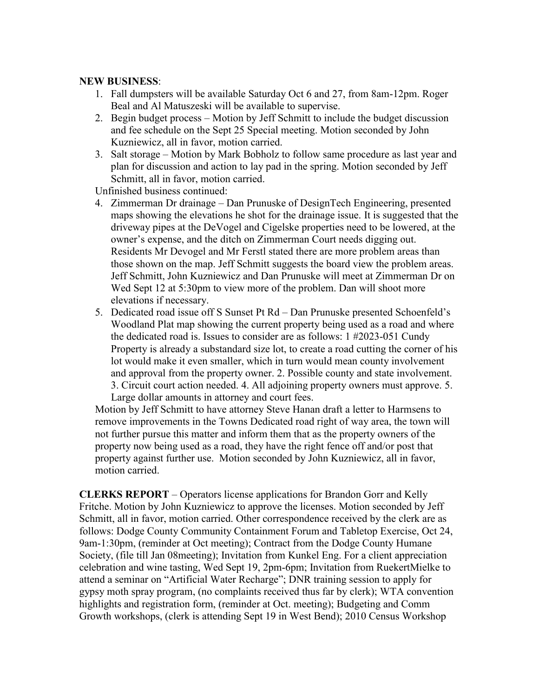#### **NEW BUSINESS**:

- 1. Fall dumpsters will be available Saturday Oct 6 and 27, from 8am-12pm. Roger Beal and Al Matuszeski will be available to supervise.
- 2. Begin budget process Motion by Jeff Schmitt to include the budget discussion and fee schedule on the Sept 25 Special meeting. Motion seconded by John Kuzniewicz, all in favor, motion carried.
- 3. Salt storage Motion by Mark Bobholz to follow same procedure as last year and plan for discussion and action to lay pad in the spring. Motion seconded by Jeff Schmitt, all in favor, motion carried.

Unfinished business continued:

- 4. Zimmerman Dr drainage Dan Prunuske of DesignTech Engineering, presented maps showing the elevations he shot for the drainage issue. It is suggested that the driveway pipes at the DeVogel and Cigelske properties need to be lowered, at the owner's expense, and the ditch on Zimmerman Court needs digging out. Residents Mr Devogel and Mr Ferstl stated there are more problem areas than those shown on the map. Jeff Schmitt suggests the board view the problem areas. Jeff Schmitt, John Kuzniewicz and Dan Prunuske will meet at Zimmerman Dr on Wed Sept 12 at 5:30pm to view more of the problem. Dan will shoot more elevations if necessary.
- 5. Dedicated road issue off S Sunset Pt Rd Dan Prunuske presented Schoenfeld's Woodland Plat map showing the current property being used as a road and where the dedicated road is. Issues to consider are as follows: 1 #2023-051 Cundy Property is already a substandard size lot, to create a road cutting the corner of his lot would make it even smaller, which in turn would mean county involvement and approval from the property owner. 2. Possible county and state involvement. 3. Circuit court action needed. 4. All adjoining property owners must approve. 5. Large dollar amounts in attorney and court fees.

Motion by Jeff Schmitt to have attorney Steve Hanan draft a letter to Harmsens to remove improvements in the Towns Dedicated road right of way area, the town will not further pursue this matter and inform them that as the property owners of the property now being used as a road, they have the right fence off and/or post that property against further use. Motion seconded by John Kuzniewicz, all in favor, motion carried.

**CLERKS REPORT** – Operators license applications for Brandon Gorr and Kelly Fritche. Motion by John Kuzniewicz to approve the licenses. Motion seconded by Jeff Schmitt, all in favor, motion carried. Other correspondence received by the clerk are as follows: Dodge County Community Containment Forum and Tabletop Exercise, Oct 24, 9am-1:30pm, (reminder at Oct meeting); Contract from the Dodge County Humane Society, (file till Jan 08meeting); Invitation from Kunkel Eng. For a client appreciation celebration and wine tasting, Wed Sept 19, 2pm-6pm; Invitation from RuekertMielke to attend a seminar on "Artificial Water Recharge"; DNR training session to apply for gypsy moth spray program, (no complaints received thus far by clerk); WTA convention highlights and registration form, (reminder at Oct. meeting); Budgeting and Comm Growth workshops, (clerk is attending Sept 19 in West Bend); 2010 Census Workshop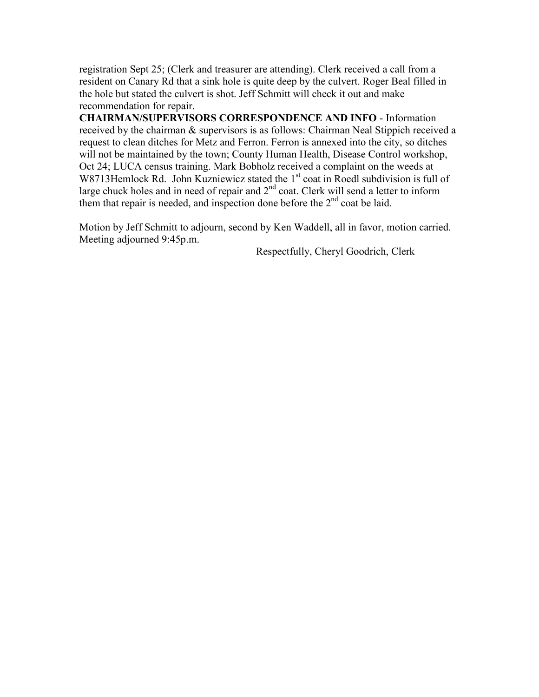registration Sept 25; (Clerk and treasurer are attending). Clerk received a call from a resident on Canary Rd that a sink hole is quite deep by the culvert. Roger Beal filled in the hole but stated the culvert is shot. Jeff Schmitt will check it out and make recommendation for repair.

**CHAIRMAN/SUPERVISORS CORRESPONDENCE AND INFO** - Information received by the chairman & supervisors is as follows: Chairman Neal Stippich received a request to clean ditches for Metz and Ferron. Ferron is annexed into the city, so ditches will not be maintained by the town; County Human Health, Disease Control workshop, Oct 24; LUCA census training. Mark Bobholz received a complaint on the weeds at W8713Hemlock Rd. John Kuzniewicz stated the 1<sup>st</sup> coat in Roedl subdivision is full of large chuck holes and in need of repair and  $2<sup>nd</sup>$  coat. Clerk will send a letter to inform them that repair is needed, and inspection done before the 2<sup>nd</sup> coat be laid.

Motion by Jeff Schmitt to adjourn, second by Ken Waddell, all in favor, motion carried. Meeting adjourned 9:45p.m.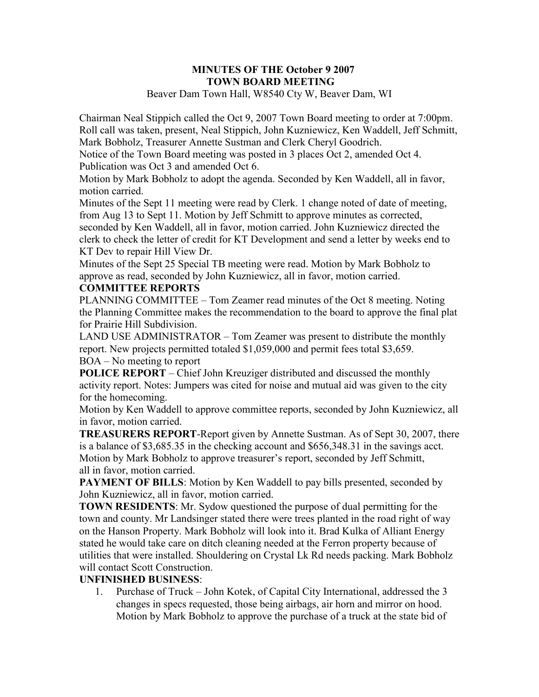#### **MINUTES OF THE October 9 2007 TOWN BOARD MEETING**  Beaver Dam Town Hall, W8540 Cty W, Beaver Dam, WI

Chairman Neal Stippich called the Oct 9, 2007 Town Board meeting to order at 7:00pm. Roll call was taken, present, Neal Stippich, John Kuzniewicz, Ken Waddell, Jeff Schmitt, Mark Bobholz, Treasurer Annette Sustman and Clerk Cheryl Goodrich.

Notice of the Town Board meeting was posted in 3 places Oct 2, amended Oct 4. Publication was Oct 3 and amended Oct 6.

Motion by Mark Bobholz to adopt the agenda. Seconded by Ken Waddell, all in favor, motion carried.

Minutes of the Sept 11 meeting were read by Clerk. 1 change noted of date of meeting, from Aug 13 to Sept 11. Motion by Jeff Schmitt to approve minutes as corrected, seconded by Ken Waddell, all in favor, motion carried. John Kuzniewicz directed the clerk to check the letter of credit for KT Development and send a letter by weeks end to KT Dev to repair Hill View Dr.

Minutes of the Sept 25 Special TB meeting were read. Motion by Mark Bobholz to approve as read, seconded by John Kuzniewicz, all in favor, motion carried.

## **COMMITTEE REPORTS**

PLANNING COMMITTEE – Tom Zeamer read minutes of the Oct 8 meeting. Noting the Planning Committee makes the recommendation to the board to approve the final plat for Prairie Hill Subdivision.

LAND USE ADMINISTRATOR – Tom Zeamer was present to distribute the monthly report. New projects permitted totaled \$1,059,000 and permit fees total \$3,659. BOA – No meeting to report

**POLICE REPORT** – Chief John Kreuziger distributed and discussed the monthly activity report. Notes: Jumpers was cited for noise and mutual aid was given to the city for the homecoming.

Motion by Ken Waddell to approve committee reports, seconded by John Kuzniewicz, all in favor, motion carried.

**TREASURERS REPORT**-Report given by Annette Sustman. As of Sept 30, 2007, there is a balance of \$3,685.35 in the checking account and \$656,348.31 in the savings acct. Motion by Mark Bobholz to approve treasurer's report, seconded by Jeff Schmitt, all in favor, motion carried.

**PAYMENT OF BILLS:** Motion by Ken Waddell to pay bills presented, seconded by John Kuzniewicz, all in favor, motion carried.

**TOWN RESIDENTS**: Mr. Sydow questioned the purpose of dual permitting for the town and county. Mr Landsinger stated there were trees planted in the road right of way on the Hanson Property. Mark Bobholz will look into it. Brad Kulka of Alliant Energy stated he would take care on ditch cleaning needed at the Ferron property because of utilities that were installed. Shouldering on Crystal Lk Rd needs packing. Mark Bobholz will contact Scott Construction.

### **UNFINISHED BUSINESS**:

1. Purchase of Truck – John Kotek, of Capital City International, addressed the 3 changes in specs requested, those being airbags, air horn and mirror on hood. Motion by Mark Bobholz to approve the purchase of a truck at the state bid of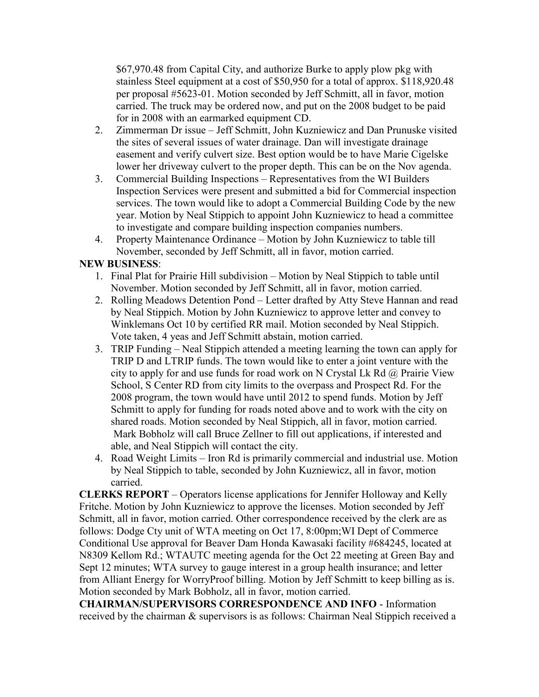\$67,970.48 from Capital City, and authorize Burke to apply plow pkg with stainless Steel equipment at a cost of \$50,950 for a total of approx. \$118,920.48 per proposal #5623-01. Motion seconded by Jeff Schmitt, all in favor, motion carried. The truck may be ordered now, and put on the 2008 budget to be paid for in 2008 with an earmarked equipment CD.

- 2. Zimmerman Dr issue Jeff Schmitt, John Kuzniewicz and Dan Prunuske visited the sites of several issues of water drainage. Dan will investigate drainage easement and verify culvert size. Best option would be to have Marie Cigelske lower her driveway culvert to the proper depth. This can be on the Nov agenda.
- 3. Commercial Building Inspections Representatives from the WI Builders Inspection Services were present and submitted a bid for Commercial inspection services. The town would like to adopt a Commercial Building Code by the new year. Motion by Neal Stippich to appoint John Kuzniewicz to head a committee to investigate and compare building inspection companies numbers.
- 4. Property Maintenance Ordinance Motion by John Kuzniewicz to table till November, seconded by Jeff Schmitt, all in favor, motion carried.

## **NEW BUSINESS**:

- 1. Final Plat for Prairie Hill subdivision Motion by Neal Stippich to table until November. Motion seconded by Jeff Schmitt, all in favor, motion carried.
- 2. Rolling Meadows Detention Pond Letter drafted by Atty Steve Hannan and read by Neal Stippich. Motion by John Kuzniewicz to approve letter and convey to Winklemans Oct 10 by certified RR mail. Motion seconded by Neal Stippich. Vote taken, 4 yeas and Jeff Schmitt abstain, motion carried.
- 3. TRIP Funding Neal Stippich attended a meeting learning the town can apply for TRIP D and LTRIP funds. The town would like to enter a joint venture with the city to apply for and use funds for road work on N Crystal Lk Rd  $\omega$  Prairie View School, S Center RD from city limits to the overpass and Prospect Rd. For the 2008 program, the town would have until 2012 to spend funds. Motion by Jeff Schmitt to apply for funding for roads noted above and to work with the city on shared roads. Motion seconded by Neal Stippich, all in favor, motion carried. Mark Bobholz will call Bruce Zellner to fill out applications, if interested and able, and Neal Stippich will contact the city.
- 4. Road Weight Limits Iron Rd is primarily commercial and industrial use. Motion by Neal Stippich to table, seconded by John Kuzniewicz, all in favor, motion carried.

**CLERKS REPORT** – Operators license applications for Jennifer Holloway and Kelly Fritche. Motion by John Kuzniewicz to approve the licenses. Motion seconded by Jeff Schmitt, all in favor, motion carried. Other correspondence received by the clerk are as follows: Dodge Cty unit of WTA meeting on Oct 17, 8:00pm;WI Dept of Commerce Conditional Use approval for Beaver Dam Honda Kawasaki facility #684245, located at N8309 Kellom Rd.; WTAUTC meeting agenda for the Oct 22 meeting at Green Bay and Sept 12 minutes; WTA survey to gauge interest in a group health insurance; and letter from Alliant Energy for WorryProof billing. Motion by Jeff Schmitt to keep billing as is. Motion seconded by Mark Bobholz, all in favor, motion carried.

**CHAIRMAN/SUPERVISORS CORRESPONDENCE AND INFO** - Information received by the chairman & supervisors is as follows: Chairman Neal Stippich received a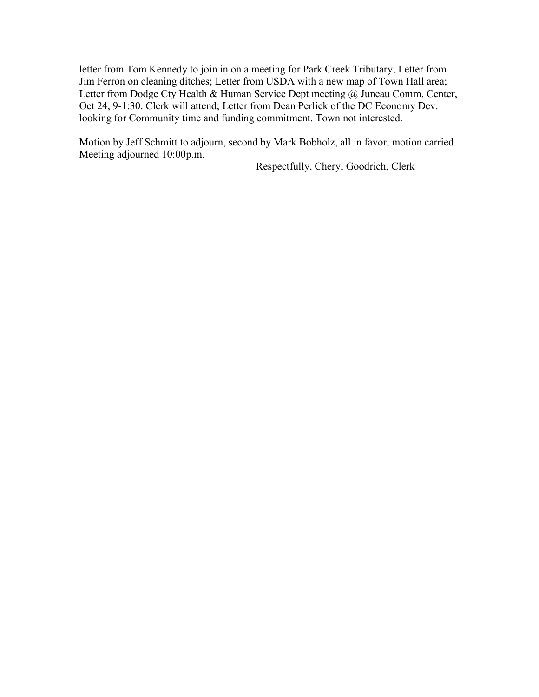letter from Tom Kennedy to join in on a meeting for Park Creek Tributary; Letter from Jim Ferron on cleaning ditches; Letter from USDA with a new map of Town Hall area; Letter from Dodge Cty Health & Human Service Dept meeting  $\omega$  Juneau Comm. Center, Oct 24, 9-1:30. Clerk will attend; Letter from Dean Perlick of the DC Economy Dev. looking for Community time and funding commitment. Town not interested.

Motion by Jeff Schmitt to adjourn, second by Mark Bobholz, all in favor, motion carried. Meeting adjourned 10:00p.m.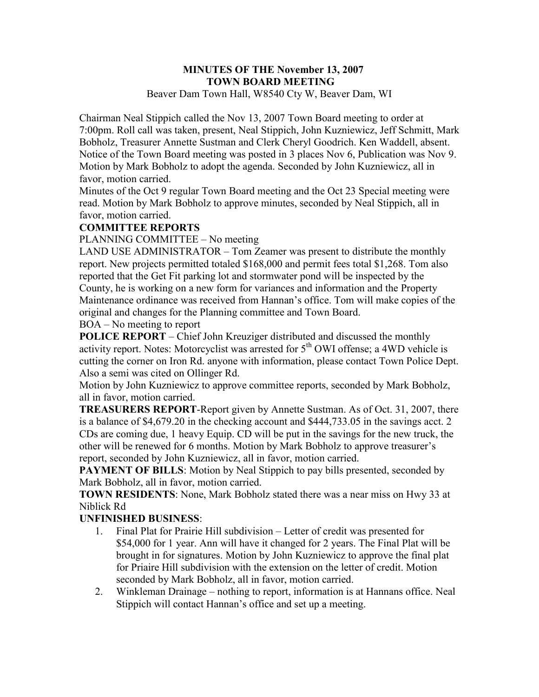#### **MINUTES OF THE November 13, 2007 TOWN BOARD MEETING**  Beaver Dam Town Hall, W8540 Cty W, Beaver Dam, WI

Chairman Neal Stippich called the Nov 13, 2007 Town Board meeting to order at 7:00pm. Roll call was taken, present, Neal Stippich, John Kuzniewicz, Jeff Schmitt, Mark Bobholz, Treasurer Annette Sustman and Clerk Cheryl Goodrich. Ken Waddell, absent. Notice of the Town Board meeting was posted in 3 places Nov 6, Publication was Nov 9. Motion by Mark Bobholz to adopt the agenda. Seconded by John Kuzniewicz, all in favor, motion carried.

Minutes of the Oct 9 regular Town Board meeting and the Oct 23 Special meeting were read. Motion by Mark Bobholz to approve minutes, seconded by Neal Stippich, all in favor, motion carried.

### **COMMITTEE REPORTS**

PLANNING COMMITTEE – No meeting

LAND USE ADMINISTRATOR – Tom Zeamer was present to distribute the monthly report. New projects permitted totaled \$168,000 and permit fees total \$1,268. Tom also reported that the Get Fit parking lot and stormwater pond will be inspected by the County, he is working on a new form for variances and information and the Property Maintenance ordinance was received from Hannan's office. Tom will make copies of the original and changes for the Planning committee and Town Board.

#### BOA – No meeting to report

**POLICE REPORT** – Chief John Kreuziger distributed and discussed the monthly activity report. Notes: Motorcyclist was arrested for  $5<sup>th</sup>$  OWI offense; a 4WD vehicle is cutting the corner on Iron Rd. anyone with information, please contact Town Police Dept. Also a semi was cited on Ollinger Rd.

Motion by John Kuzniewicz to approve committee reports, seconded by Mark Bobholz, all in favor, motion carried.

**TREASURERS REPORT**-Report given by Annette Sustman. As of Oct. 31, 2007, there is a balance of \$4,679.20 in the checking account and \$444,733.05 in the savings acct. 2 CDs are coming due, 1 heavy Equip. CD will be put in the savings for the new truck, the other will be renewed for 6 months. Motion by Mark Bobholz to approve treasurer's report, seconded by John Kuzniewicz, all in favor, motion carried.

**PAYMENT OF BILLS:** Motion by Neal Stippich to pay bills presented, seconded by Mark Bobholz, all in favor, motion carried.

**TOWN RESIDENTS**: None, Mark Bobholz stated there was a near miss on Hwy 33 at Niblick Rd

### **UNFINISHED BUSINESS**:

- 1. Final Plat for Prairie Hill subdivision Letter of credit was presented for \$54,000 for 1 year. Ann will have it changed for 2 years. The Final Plat will be brought in for signatures. Motion by John Kuzniewicz to approve the final plat for Priaire Hill subdivision with the extension on the letter of credit. Motion seconded by Mark Bobholz, all in favor, motion carried.
- 2. Winkleman Drainage nothing to report, information is at Hannans office. Neal Stippich will contact Hannan's office and set up a meeting.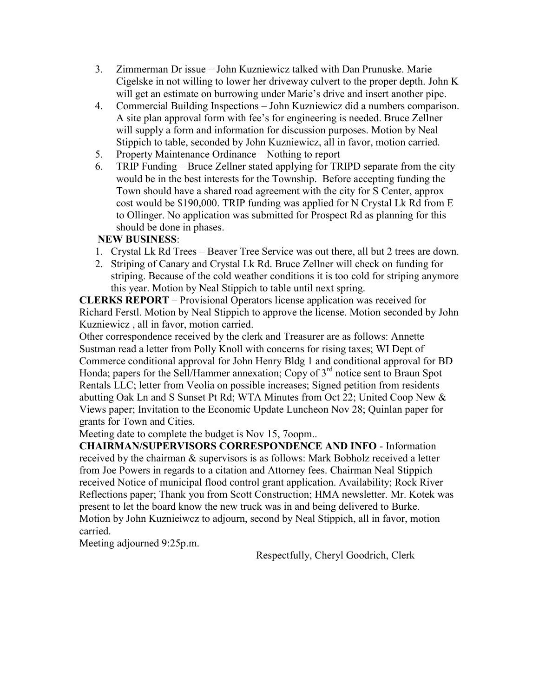- 3. Zimmerman Dr issue John Kuzniewicz talked with Dan Prunuske. Marie Cigelske in not willing to lower her driveway culvert to the proper depth. John K will get an estimate on burrowing under Marie's drive and insert another pipe.
- 4. Commercial Building Inspections John Kuzniewicz did a numbers comparison. A site plan approval form with fee's for engineering is needed. Bruce Zellner will supply a form and information for discussion purposes. Motion by Neal Stippich to table, seconded by John Kuzniewicz, all in favor, motion carried.
- 5. Property Maintenance Ordinance Nothing to report
- 6. TRIP Funding Bruce Zellner stated applying for TRIPD separate from the city would be in the best interests for the Township. Before accepting funding the Town should have a shared road agreement with the city for S Center, approx cost would be \$190,000. TRIP funding was applied for N Crystal Lk Rd from E to Ollinger. No application was submitted for Prospect Rd as planning for this should be done in phases.

### **NEW BUSINESS**:

- 1. Crystal Lk Rd Trees Beaver Tree Service was out there, all but 2 trees are down.
- 2. Striping of Canary and Crystal Lk Rd. Bruce Zellner will check on funding for striping. Because of the cold weather conditions it is too cold for striping anymore this year. Motion by Neal Stippich to table until next spring.

**CLERKS REPORT** – Provisional Operators license application was received for Richard Ferstl. Motion by Neal Stippich to approve the license. Motion seconded by John Kuzniewicz , all in favor, motion carried.

Other correspondence received by the clerk and Treasurer are as follows: Annette Sustman read a letter from Polly Knoll with concerns for rising taxes; WI Dept of Commerce conditional approval for John Henry Bldg 1 and conditional approval for BD Honda; papers for the Sell/Hammer annexation; Copy of  $3<sup>rd</sup>$  notice sent to Braun Spot Rentals LLC; letter from Veolia on possible increases; Signed petition from residents abutting Oak Ln and S Sunset Pt Rd; WTA Minutes from Oct 22; United Coop New & Views paper; Invitation to the Economic Update Luncheon Nov 28; Quinlan paper for grants for Town and Cities.

Meeting date to complete the budget is Nov 15, 7oopm..

**CHAIRMAN/SUPERVISORS CORRESPONDENCE AND INFO** - Information received by the chairman & supervisors is as follows: Mark Bobholz received a letter from Joe Powers in regards to a citation and Attorney fees. Chairman Neal Stippich received Notice of municipal flood control grant application. Availability; Rock River Reflections paper; Thank you from Scott Construction; HMA newsletter. Mr. Kotek was present to let the board know the new truck was in and being delivered to Burke. Motion by John Kuznieiwcz to adjourn, second by Neal Stippich, all in favor, motion carried.

Meeting adjourned 9:25p.m.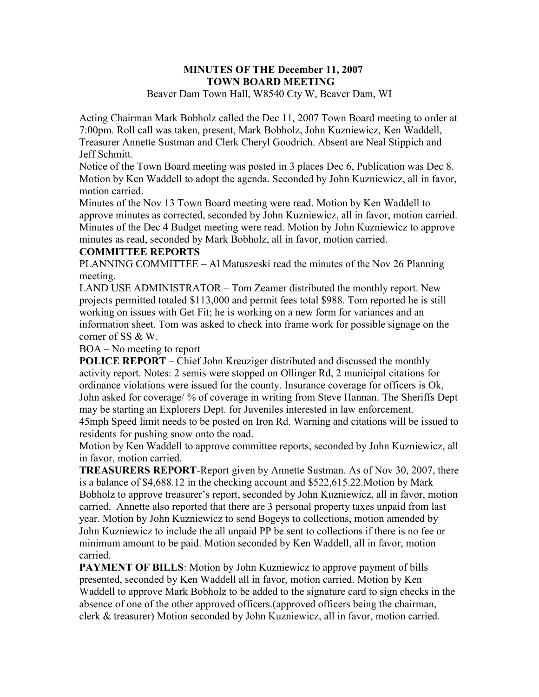#### **MINUTES OF THE December 11, 2007 TOWN BOARD MEETING**  Beaver Dam Town Hall, W8540 Cty W, Beaver Dam, WI

Acting Chairman Mark Bobholz called the Dec 11, 2007 Town Board meeting to order at 7:00pm. Roll call was taken, present, Mark Bobholz, John Kuzniewicz, Ken Waddell, Treasurer Annette Sustman and Clerk Cheryl Goodrich. Absent are Neal Stippich and Jeff Schmitt.

Notice of the Town Board meeting was posted in 3 places Dec 6, Publication was Dec 8. Motion by Ken Waddell to adopt the agenda. Seconded by John Kuzniewicz, all in favor, motion carried.

Minutes of the Nov 13 Town Board meeting were read. Motion by Ken Waddell to approve minutes as corrected, seconded by John Kuzniewicz, all in favor, motion carried. Minutes of the Dec 4 Budget meeting were read. Motion by John Kuzniewicz to approve minutes as read, seconded by Mark Bobholz, all in favor, motion carried.

#### **COMMITTEE REPORTS**

PLANNING COMMITTEE – Al Matuszeski read the minutes of the Nov 26 Planning meeting.

LAND USE ADMINISTRATOR – Tom Zeamer distributed the monthly report. New projects permitted totaled \$113,000 and permit fees total \$988. Tom reported he is still working on issues with Get Fit; he is working on a new form for variances and an information sheet. Tom was asked to check into frame work for possible signage on the corner of SS & W.

#### BOA – No meeting to report

**POLICE REPORT** – Chief John Kreuziger distributed and discussed the monthly activity report. Notes: 2 semis were stopped on Ollinger Rd, 2 municipal citations for ordinance violations were issued for the county. Insurance coverage for officers is Ok, John asked for coverage/ % of coverage in writing from Steve Hannan. The Sheriffs Dept may be starting an Explorers Dept. for Juveniles interested in law enforcement. 45mph Speed limit needs to be posted on Iron Rd. Warning and citations will be issued to residents for pushing snow onto the road.

Motion by Ken Waddell to approve committee reports, seconded by John Kuzniewicz, all in favor, motion carried.

**TREASURERS REPORT**-Report given by Annette Sustman. As of Nov 30, 2007, there is a balance of \$4,688.12 in the checking account and \$522,615.22.Motion by Mark Bobholz to approve treasurer's report, seconded by John Kuzniewicz, all in favor, motion carried. Annette also reported that there are 3 personal property taxes unpaid from last year. Motion by John Kuzniewicz to send Bogeys to collections, motion amended by John Kuzniewicz to include the all unpaid PP be sent to collections if there is no fee or minimum amount to be paid. Motion seconded by Ken Waddell, all in favor, motion carried.

**PAYMENT OF BILLS:** Motion by John Kuzniewicz to approve payment of bills presented, seconded by Ken Waddell all in favor, motion carried. Motion by Ken Waddell to approve Mark Bobholz to be added to the signature card to sign checks in the absence of one of the other approved officers.(approved officers being the chairman, clerk & treasurer) Motion seconded by John Kuzniewicz, all in favor, motion carried.